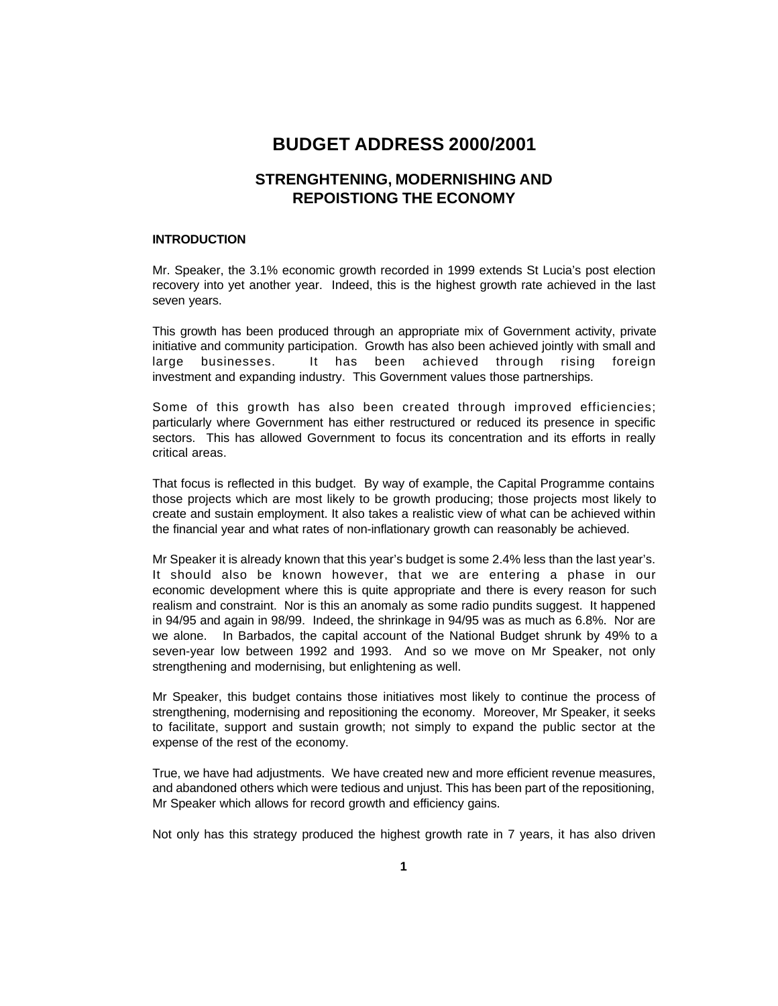# **BUDGET ADDRESS 2000/2001**

# **STRENGHTENING, MODERNISHING AND REPOISTIONG THE ECONOMY**

### **INTRODUCTION**

Mr. Speaker, the 3.1% economic growth recorded in 1999 extends St Lucia's post election recovery into yet another year. Indeed, this is the highest growth rate achieved in the last seven years.

This growth has been produced through an appropriate mix of Government activity, private initiative and community participation. Growth has also been achieved jointly with small and large businesses. It has been achieved through rising foreign investment and expanding industry. This Government values those partnerships.

Some of this growth has also been created through improved efficiencies; particularly where Government has either restructured or reduced its presence in specific sectors. This has allowed Government to focus its concentration and its efforts in really critical areas.

That focus is reflected in this budget. By way of example, the Capital Programme contains those projects which are most likely to be growth producing; those projects most likely to create and sustain employment. It also takes a realistic view of what can be achieved within the financial year and what rates of non-inflationary growth can reasonably be achieved.

Mr Speaker it is already known that this year's budget is some 2.4% less than the last year's. It should also be known however, that we are entering a phase in our economic development where this is quite appropriate and there is every reason for such realism and constraint. Nor is this an anomaly as some radio pundits suggest. It happened in 94/95 and again in 98/99. Indeed, the shrinkage in 94/95 was as much as 6.8%. Nor are we alone. In Barbados, the capital account of the National Budget shrunk by 49% to a seven-year low between 1992 and 1993. And so we move on Mr Speaker, not only strengthening and modernising, but enlightening as well.

Mr Speaker, this budget contains those initiatives most likely to continue the process of strengthening, modernising and repositioning the economy. Moreover, Mr Speaker, it seeks to facilitate, support and sustain growth; not simply to expand the public sector at the expense of the rest of the economy.

True, we have had adjustments. We have created new and more efficient revenue measures, and abandoned others which were tedious and unjust. This has been part of the repositioning, Mr Speaker which allows for record growth and efficiency gains.

Not only has this strategy produced the highest growth rate in 7 years, it has also driven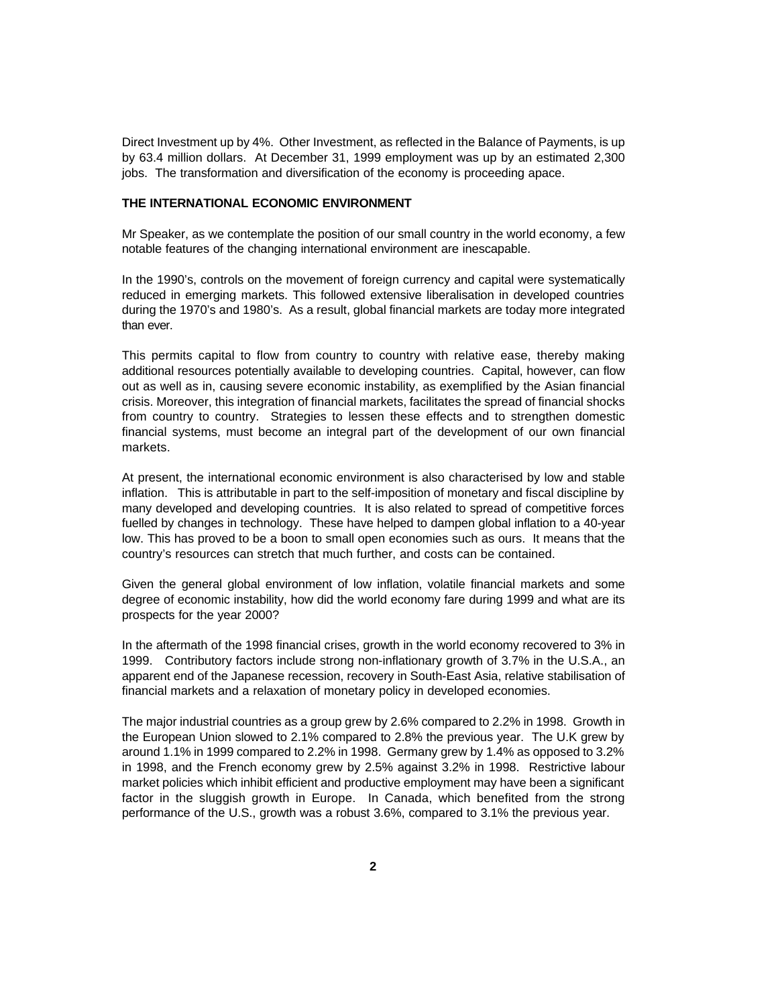Direct Investment up by 4%. Other Investment, as reflected in the Balance of Payments, is up by 63.4 million dollars. At December 31, 1999 employment was up by an estimated 2,300 jobs. The transformation and diversification of the economy is proceeding apace.

### **THE INTERNATIONAL ECONOMIC ENVIRONMENT**

Mr Speaker, as we contemplate the position of our small country in the world economy, a few notable features of the changing international environment are inescapable.

In the 1990's, controls on the movement of foreign currency and capital were systematically reduced in emerging markets. This followed extensive liberalisation in developed countries during the 1970's and 1980's. As a result, global financial markets are today more integrated than ever.

This permits capital to flow from country to country with relative ease, thereby making additional resources potentially available to developing countries. Capital, however, can flow out as well as in, causing severe economic instability, as exemplified by the Asian financial crisis. Moreover, this integration of financial markets, facilitates the spread of financial shocks from country to country. Strategies to lessen these effects and to strengthen domestic financial systems, must become an integral part of the development of our own financial markets.

At present, the international economic environment is also characterised by low and stable inflation. This is attributable in part to the self-imposition of monetary and fiscal discipline by many developed and developing countries. It is also related to spread of competitive forces fuelled by changes in technology. These have helped to dampen global inflation to a 40-year low. This has proved to be a boon to small open economies such as ours. It means that the country's resources can stretch that much further, and costs can be contained.

Given the general global environment of low inflation, volatile financial markets and some degree of economic instability, how did the world economy fare during 1999 and what are its prospects for the year 2000?

In the aftermath of the 1998 financial crises, growth in the world economy recovered to 3% in 1999. Contributory factors include strong non-inflationary growth of 3.7% in the U.S.A., an apparent end of the Japanese recession, recovery in South-East Asia, relative stabilisation of financial markets and a relaxation of monetary policy in developed economies.

The major industrial countries as a group grew by 2.6% compared to 2.2% in 1998. Growth in the European Union slowed to 2.1% compared to 2.8% the previous year. The U.K grew by around 1.1% in 1999 compared to 2.2% in 1998. Germany grew by 1.4% as opposed to 3.2% in 1998, and the French economy grew by 2.5% against 3.2% in 1998. Restrictive labour market policies which inhibit efficient and productive employment may have been a significant factor in the sluggish growth in Europe. In Canada, which benefited from the strong performance of the U.S., growth was a robust 3.6%, compared to 3.1% the previous year.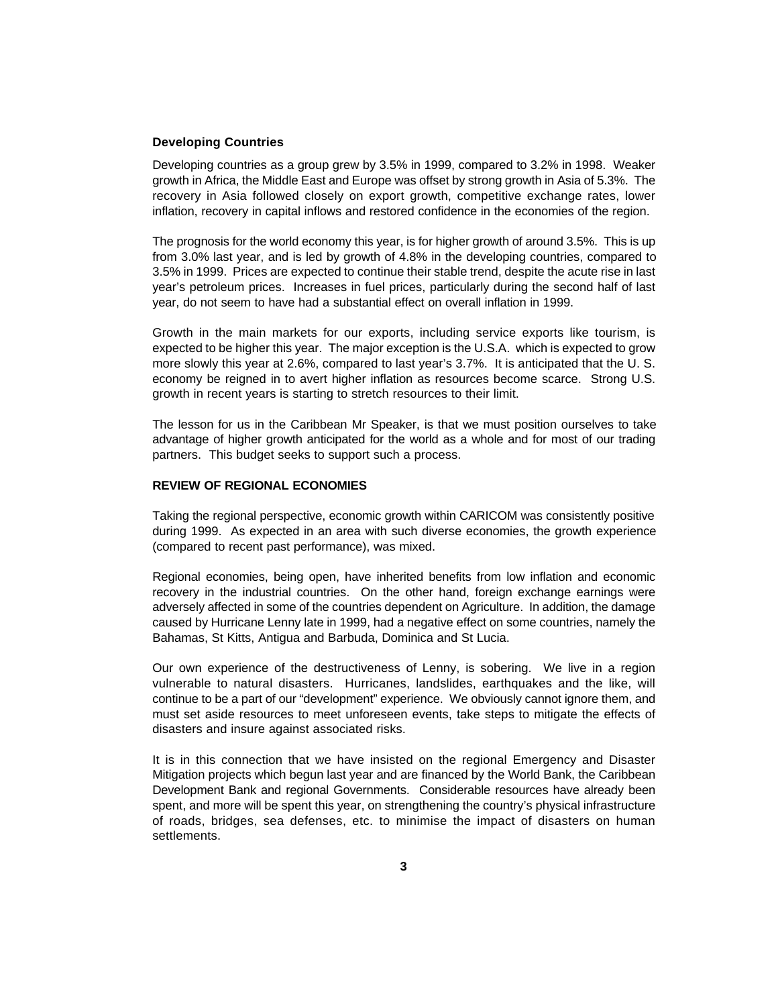# **Developing Countries**

Developing countries as a group grew by 3.5% in 1999, compared to 3.2% in 1998. Weaker growth in Africa, the Middle East and Europe was offset by strong growth in Asia of 5.3%. The recovery in Asia followed closely on export growth, competitive exchange rates, lower inflation, recovery in capital inflows and restored confidence in the economies of the region.

The prognosis for the world economy this year, is for higher growth of around 3.5%. This is up from 3.0% last year, and is led by growth of 4.8% in the developing countries, compared to 3.5% in 1999. Prices are expected to continue their stable trend, despite the acute rise in last year's petroleum prices. Increases in fuel prices, particularly during the second half of last year, do not seem to have had a substantial effect on overall inflation in 1999.

Growth in the main markets for our exports, including service exports like tourism, is expected to be higher this year. The major exception is the U.S.A. which is expected to grow more slowly this year at 2.6%, compared to last year's 3.7%. It is anticipated that the U. S. economy be reigned in to avert higher inflation as resources become scarce. Strong U.S. growth in recent years is starting to stretch resources to their limit.

The lesson for us in the Caribbean Mr Speaker, is that we must position ourselves to take advantage of higher growth anticipated for the world as a whole and for most of our trading partners. This budget seeks to support such a process.

## **REVIEW OF REGIONAL ECONOMIES**

Taking the regional perspective, economic growth within CARICOM was consistently positive during 1999. As expected in an area with such diverse economies, the growth experience (compared to recent past performance), was mixed.

Regional economies, being open, have inherited benefits from low inflation and economic recovery in the industrial countries. On the other hand, foreign exchange earnings were adversely affected in some of the countries dependent on Agriculture. In addition, the damage caused by Hurricane Lenny late in 1999, had a negative effect on some countries, namely the Bahamas, St Kitts, Antigua and Barbuda, Dominica and St Lucia.

Our own experience of the destructiveness of Lenny, is sobering. We live in a region vulnerable to natural disasters. Hurricanes, landslides, earthquakes and the like, will continue to be a part of our "development" experience. We obviously cannot ignore them, and must set aside resources to meet unforeseen events, take steps to mitigate the effects of disasters and insure against associated risks.

It is in this connection that we have insisted on the regional Emergency and Disaster Mitigation projects which begun last year and are financed by the World Bank, the Caribbean Development Bank and regional Governments. Considerable resources have already been spent, and more will be spent this year, on strengthening the country's physical infrastructure of roads, bridges, sea defenses, etc. to minimise the impact of disasters on human settlements.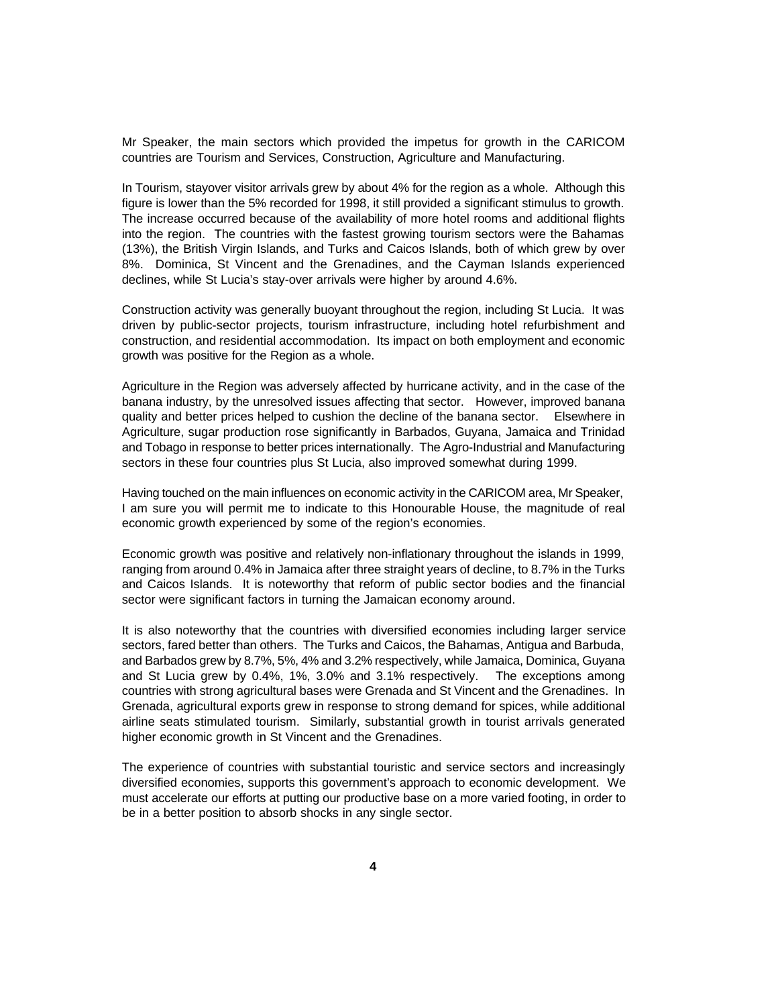Mr Speaker, the main sectors which provided the impetus for growth in the CARICOM countries are Tourism and Services, Construction, Agriculture and Manufacturing.

In Tourism, stayover visitor arrivals grew by about 4% for the region as a whole. Although this figure is lower than the 5% recorded for 1998, it still provided a significant stimulus to growth. The increase occurred because of the availability of more hotel rooms and additional flights into the region. The countries with the fastest growing tourism sectors were the Bahamas (13%), the British Virgin Islands, and Turks and Caicos Islands, both of which grew by over 8%. Dominica, St Vincent and the Grenadines, and the Cayman Islands experienced declines, while St Lucia's stay-over arrivals were higher by around 4.6%.

Construction activity was generally buoyant throughout the region, including St Lucia. It was driven by public-sector projects, tourism infrastructure, including hotel refurbishment and construction, and residential accommodation. Its impact on both employment and economic growth was positive for the Region as a whole.

Agriculture in the Region was adversely affected by hurricane activity, and in the case of the banana industry, by the unresolved issues affecting that sector. However, improved banana quality and better prices helped to cushion the decline of the banana sector. Elsewhere in Agriculture, sugar production rose significantly in Barbados, Guyana, Jamaica and Trinidad and Tobago in response to better prices internationally. The Agro-Industrial and Manufacturing sectors in these four countries plus St Lucia, also improved somewhat during 1999.

Having touched on the main influences on economic activity in the CARICOM area, Mr Speaker, I am sure you will permit me to indicate to this Honourable House, the magnitude of real economic growth experienced by some of the region's economies.

Economic growth was positive and relatively non-inflationary throughout the islands in 1999, ranging from around 0.4% in Jamaica after three straight years of decline, to 8.7% in the Turks and Caicos Islands. It is noteworthy that reform of public sector bodies and the financial sector were significant factors in turning the Jamaican economy around.

It is also noteworthy that the countries with diversified economies including larger service sectors, fared better than others. The Turks and Caicos, the Bahamas, Antigua and Barbuda, and Barbados grew by 8.7%, 5%, 4% and 3.2% respectively, while Jamaica, Dominica, Guyana and St Lucia grew by 0.4%, 1%, 3.0% and 3.1% respectively. The exceptions among countries with strong agricultural bases were Grenada and St Vincent and the Grenadines. In Grenada, agricultural exports grew in response to strong demand for spices, while additional airline seats stimulated tourism. Similarly, substantial growth in tourist arrivals generated higher economic growth in St Vincent and the Grenadines.

The experience of countries with substantial touristic and service sectors and increasingly diversified economies, supports this government's approach to economic development. We must accelerate our efforts at putting our productive base on a more varied footing, in order to be in a better position to absorb shocks in any single sector.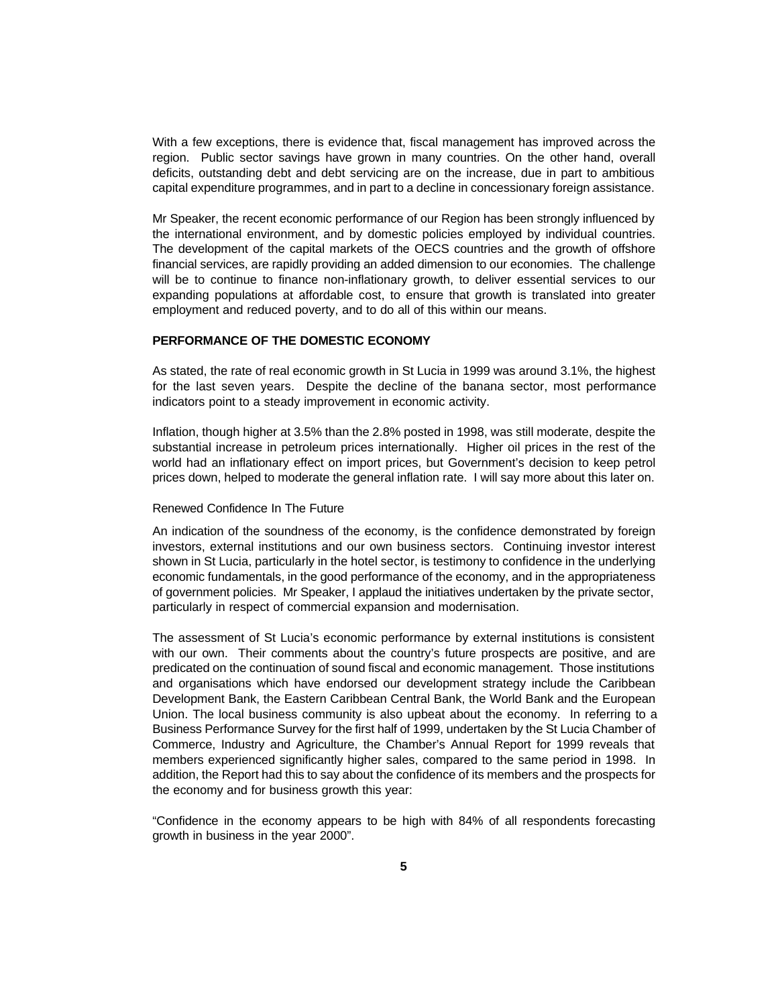With a few exceptions, there is evidence that, fiscal management has improved across the region. Public sector savings have grown in many countries. On the other hand, overall deficits, outstanding debt and debt servicing are on the increase, due in part to ambitious capital expenditure programmes, and in part to a decline in concessionary foreign assistance.

Mr Speaker, the recent economic performance of our Region has been strongly influenced by the international environment, and by domestic policies employed by individual countries. The development of the capital markets of the OECS countries and the growth of offshore financial services, are rapidly providing an added dimension to our economies. The challenge will be to continue to finance non-inflationary growth, to deliver essential services to our expanding populations at affordable cost, to ensure that growth is translated into greater employment and reduced poverty, and to do all of this within our means.

### **PERFORMANCE OF THE DOMESTIC ECONOMY**

As stated, the rate of real economic growth in St Lucia in 1999 was around 3.1%, the highest for the last seven years. Despite the decline of the banana sector, most performance indicators point to a steady improvement in economic activity.

Inflation, though higher at 3.5% than the 2.8% posted in 1998, was still moderate, despite the substantial increase in petroleum prices internationally. Higher oil prices in the rest of the world had an inflationary effect on import prices, but Government's decision to keep petrol prices down, helped to moderate the general inflation rate. I will say more about this later on.

#### Renewed Confidence In The Future

An indication of the soundness of the economy, is the confidence demonstrated by foreign investors, external institutions and our own business sectors. Continuing investor interest shown in St Lucia, particularly in the hotel sector, is testimony to confidence in the underlying economic fundamentals, in the good performance of the economy, and in the appropriateness of government policies. Mr Speaker, I applaud the initiatives undertaken by the private sector, particularly in respect of commercial expansion and modernisation.

The assessment of St Lucia's economic performance by external institutions is consistent with our own. Their comments about the country's future prospects are positive, and are predicated on the continuation of sound fiscal and economic management. Those institutions and organisations which have endorsed our development strategy include the Caribbean Development Bank, the Eastern Caribbean Central Bank, the World Bank and the European Union. The local business community is also upbeat about the economy. In referring to a Business Performance Survey for the first half of 1999, undertaken by the St Lucia Chamber of Commerce, Industry and Agriculture, the Chamber's Annual Report for 1999 reveals that members experienced significantly higher sales, compared to the same period in 1998. In addition, the Report had this to say about the confidence of its members and the prospects for the economy and for business growth this year:

"Confidence in the economy appears to be high with 84% of all respondents forecasting growth in business in the year 2000".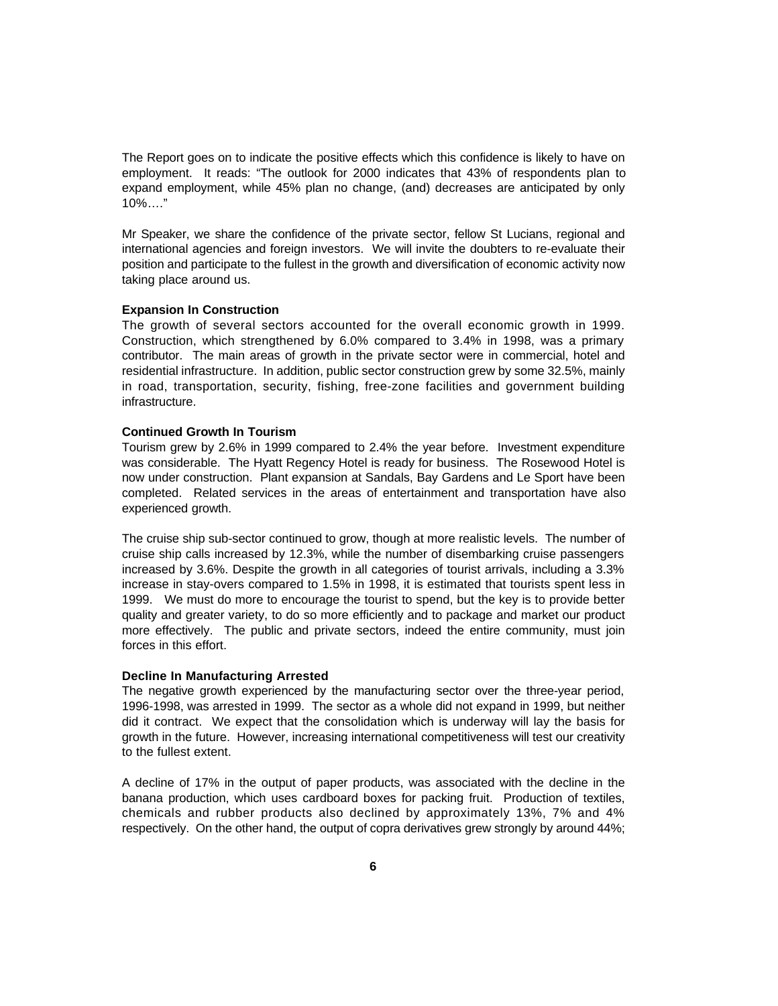The Report goes on to indicate the positive effects which this confidence is likely to have on employment. It reads: "The outlook for 2000 indicates that 43% of respondents plan to expand employment, while 45% plan no change, (and) decreases are anticipated by only 10%…."

Mr Speaker, we share the confidence of the private sector, fellow St Lucians, regional and international agencies and foreign investors. We will invite the doubters to re-evaluate their position and participate to the fullest in the growth and diversification of economic activity now taking place around us.

### **Expansion In Construction**

The growth of several sectors accounted for the overall economic growth in 1999. Construction, which strengthened by 6.0% compared to 3.4% in 1998, was a primary contributor. The main areas of growth in the private sector were in commercial, hotel and residential infrastructure. In addition, public sector construction grew by some 32.5%, mainly in road, transportation, security, fishing, free-zone facilities and government building infrastructure.

#### **Continued Growth In Tourism**

Tourism grew by 2.6% in 1999 compared to 2.4% the year before. Investment expenditure was considerable. The Hyatt Regency Hotel is ready for business. The Rosewood Hotel is now under construction. Plant expansion at Sandals, Bay Gardens and Le Sport have been completed. Related services in the areas of entertainment and transportation have also experienced growth.

The cruise ship sub-sector continued to grow, though at more realistic levels. The number of cruise ship calls increased by 12.3%, while the number of disembarking cruise passengers increased by 3.6%. Despite the growth in all categories of tourist arrivals, including a 3.3% increase in stay-overs compared to 1.5% in 1998, it is estimated that tourists spent less in 1999. We must do more to encourage the tourist to spend, but the key is to provide better quality and greater variety, to do so more efficiently and to package and market our product more effectively. The public and private sectors, indeed the entire community, must join forces in this effort.

### **Decline In Manufacturing Arrested**

The negative growth experienced by the manufacturing sector over the three-year period, 1996-1998, was arrested in 1999. The sector as a whole did not expand in 1999, but neither did it contract. We expect that the consolidation which is underway will lay the basis for growth in the future. However, increasing international competitiveness will test our creativity to the fullest extent.

A decline of 17% in the output of paper products, was associated with the decline in the banana production, which uses cardboard boxes for packing fruit. Production of textiles, chemicals and rubber products also declined by approximately 13%, 7% and 4% respectively. On the other hand, the output of copra derivatives grew strongly by around 44%;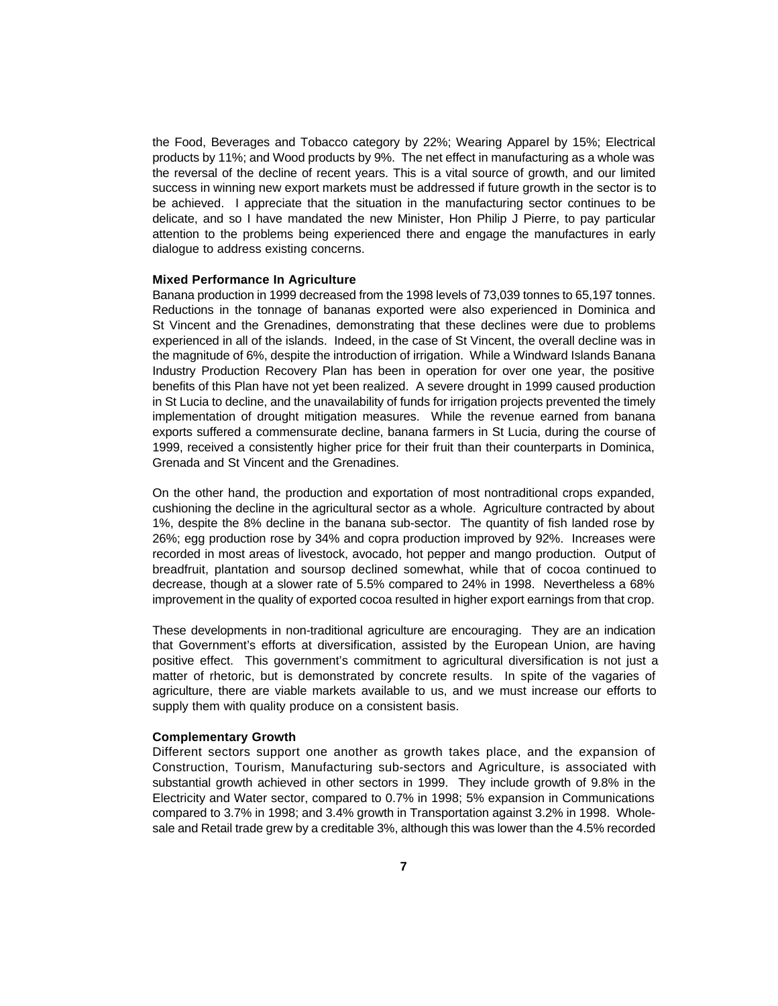the Food, Beverages and Tobacco category by 22%; Wearing Apparel by 15%; Electrical products by 11%; and Wood products by 9%. The net effect in manufacturing as a whole was the reversal of the decline of recent years. This is a vital source of growth, and our limited success in winning new export markets must be addressed if future growth in the sector is to be achieved. I appreciate that the situation in the manufacturing sector continues to be delicate, and so I have mandated the new Minister, Hon Philip J Pierre, to pay particular attention to the problems being experienced there and engage the manufactures in early dialogue to address existing concerns.

### **Mixed Performance In Agriculture**

Banana production in 1999 decreased from the 1998 levels of 73,039 tonnes to 65,197 tonnes. Reductions in the tonnage of bananas exported were also experienced in Dominica and St Vincent and the Grenadines, demonstrating that these declines were due to problems experienced in all of the islands. Indeed, in the case of St Vincent, the overall decline was in the magnitude of 6%, despite the introduction of irrigation. While a Windward Islands Banana Industry Production Recovery Plan has been in operation for over one year, the positive benefits of this Plan have not yet been realized. A severe drought in 1999 caused production in St Lucia to decline, and the unavailability of funds for irrigation projects prevented the timely implementation of drought mitigation measures. While the revenue earned from banana exports suffered a commensurate decline, banana farmers in St Lucia, during the course of 1999, received a consistently higher price for their fruit than their counterparts in Dominica, Grenada and St Vincent and the Grenadines.

On the other hand, the production and exportation of most nontraditional crops expanded, cushioning the decline in the agricultural sector as a whole. Agriculture contracted by about 1%, despite the 8% decline in the banana sub-sector. The quantity of fish landed rose by 26%; egg production rose by 34% and copra production improved by 92%. Increases were recorded in most areas of livestock, avocado, hot pepper and mango production. Output of breadfruit, plantation and soursop declined somewhat, while that of cocoa continued to decrease, though at a slower rate of 5.5% compared to 24% in 1998. Nevertheless a 68% improvement in the quality of exported cocoa resulted in higher export earnings from that crop.

These developments in non-traditional agriculture are encouraging. They are an indication that Government's efforts at diversification, assisted by the European Union, are having positive effect. This government's commitment to agricultural diversification is not just a matter of rhetoric, but is demonstrated by concrete results. In spite of the vagaries of agriculture, there are viable markets available to us, and we must increase our efforts to supply them with quality produce on a consistent basis.

### **Complementary Growth**

Different sectors support one another as growth takes place, and the expansion of Construction, Tourism, Manufacturing sub-sectors and Agriculture, is associated with substantial growth achieved in other sectors in 1999. They include growth of 9.8% in the Electricity and Water sector, compared to 0.7% in 1998; 5% expansion in Communications compared to 3.7% in 1998; and 3.4% growth in Transportation against 3.2% in 1998. Wholesale and Retail trade grew by a creditable 3%, although this was lower than the 4.5% recorded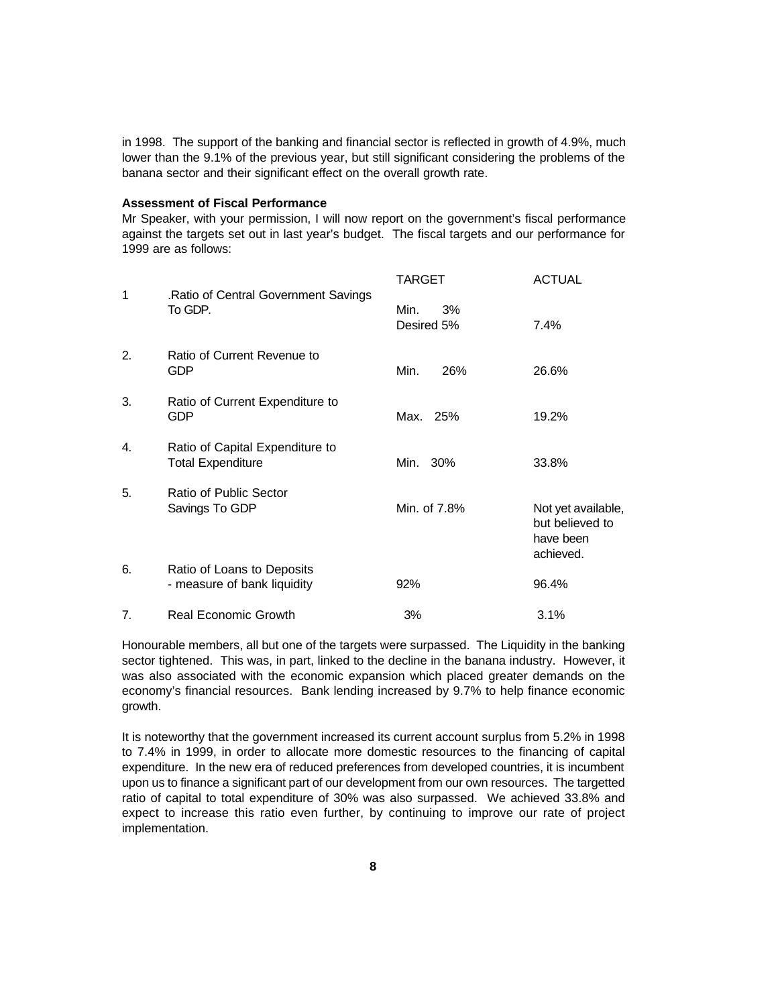in 1998. The support of the banking and financial sector is reflected in growth of 4.9%, much lower than the 9.1% of the previous year, but still significant considering the problems of the banana sector and their significant effect on the overall growth rate.

### **Assessment of Fiscal Performance**

Mr Speaker, with your permission, I will now report on the government's fiscal performance against the targets set out in last year's budget. The fiscal targets and our performance for 1999 are as follows:

| 1  | .Ratio of Central Government Savings<br>To GDP.             | TARGET                   | <b>ACTUAL</b>                                                   |
|----|-------------------------------------------------------------|--------------------------|-----------------------------------------------------------------|
|    |                                                             | Min.<br>3%<br>Desired 5% | 7.4%                                                            |
| 2. | Ratio of Current Revenue to<br><b>GDP</b>                   | Min.<br>26%              | 26.6%                                                           |
| 3. | Ratio of Current Expenditure to<br><b>GDP</b>               | Max. 25%                 | 19.2%                                                           |
| 4. | Ratio of Capital Expenditure to<br><b>Total Expenditure</b> | Min. 30%                 | 33.8%                                                           |
| 5. | Ratio of Public Sector<br>Savings To GDP                    | Min. of 7.8%             | Not yet available,<br>but believed to<br>have been<br>achieved. |
| 6. | Ratio of Loans to Deposits<br>- measure of bank liquidity   | 92%                      | 96.4%                                                           |
| 7. | <b>Real Economic Growth</b>                                 | 3%                       | 3.1%                                                            |

Honourable members, all but one of the targets were surpassed. The Liquidity in the banking sector tightened. This was, in part, linked to the decline in the banana industry. However, it was also associated with the economic expansion which placed greater demands on the economy's financial resources. Bank lending increased by 9.7% to help finance economic growth.

It is noteworthy that the government increased its current account surplus from 5.2% in 1998 to 7.4% in 1999, in order to allocate more domestic resources to the financing of capital expenditure. In the new era of reduced preferences from developed countries, it is incumbent upon us to finance a significant part of our development from our own resources. The targetted ratio of capital to total expenditure of 30% was also surpassed. We achieved 33.8% and expect to increase this ratio even further, by continuing to improve our rate of project implementation.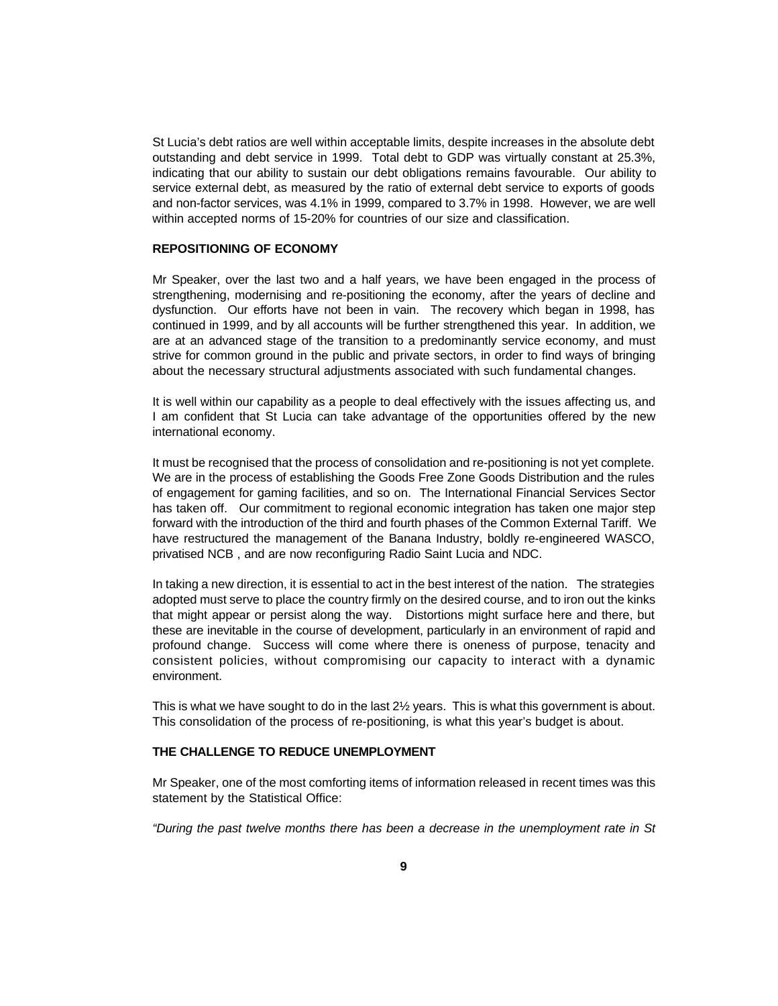St Lucia's debt ratios are well within acceptable limits, despite increases in the absolute debt outstanding and debt service in 1999. Total debt to GDP was virtually constant at 25.3%, indicating that our ability to sustain our debt obligations remains favourable. Our ability to service external debt, as measured by the ratio of external debt service to exports of goods and non-factor services, was 4.1% in 1999, compared to 3.7% in 1998. However, we are well within accepted norms of 15-20% for countries of our size and classification.

### **REPOSITIONING OF ECONOMY**

Mr Speaker, over the last two and a half years, we have been engaged in the process of strengthening, modernising and re-positioning the economy, after the years of decline and dysfunction. Our efforts have not been in vain. The recovery which began in 1998, has continued in 1999, and by all accounts will be further strengthened this year. In addition, we are at an advanced stage of the transition to a predominantly service economy, and must strive for common ground in the public and private sectors, in order to find ways of bringing about the necessary structural adjustments associated with such fundamental changes.

It is well within our capability as a people to deal effectively with the issues affecting us, and I am confident that St Lucia can take advantage of the opportunities offered by the new international economy.

It must be recognised that the process of consolidation and re-positioning is not yet complete. We are in the process of establishing the Goods Free Zone Goods Distribution and the rules of engagement for gaming facilities, and so on. The International Financial Services Sector has taken off. Our commitment to regional economic integration has taken one major step forward with the introduction of the third and fourth phases of the Common External Tariff. We have restructured the management of the Banana Industry, boldly re-engineered WASCO, privatised NCB , and are now reconfiguring Radio Saint Lucia and NDC.

In taking a new direction, it is essential to act in the best interest of the nation. The strategies adopted must serve to place the country firmly on the desired course, and to iron out the kinks that might appear or persist along the way. Distortions might surface here and there, but these are inevitable in the course of development, particularly in an environment of rapid and profound change. Success will come where there is oneness of purpose, tenacity and consistent policies, without compromising our capacity to interact with a dynamic environment.

This is what we have sought to do in the last 2½ years. This is what this government is about. This consolidation of the process of re-positioning, is what this year's budget is about.

## **THE CHALLENGE TO REDUCE UNEMPLOYMENT**

Mr Speaker, one of the most comforting items of information released in recent times was this statement by the Statistical Office:

*"During the past twelve months there has been a decrease in the unemployment rate in St*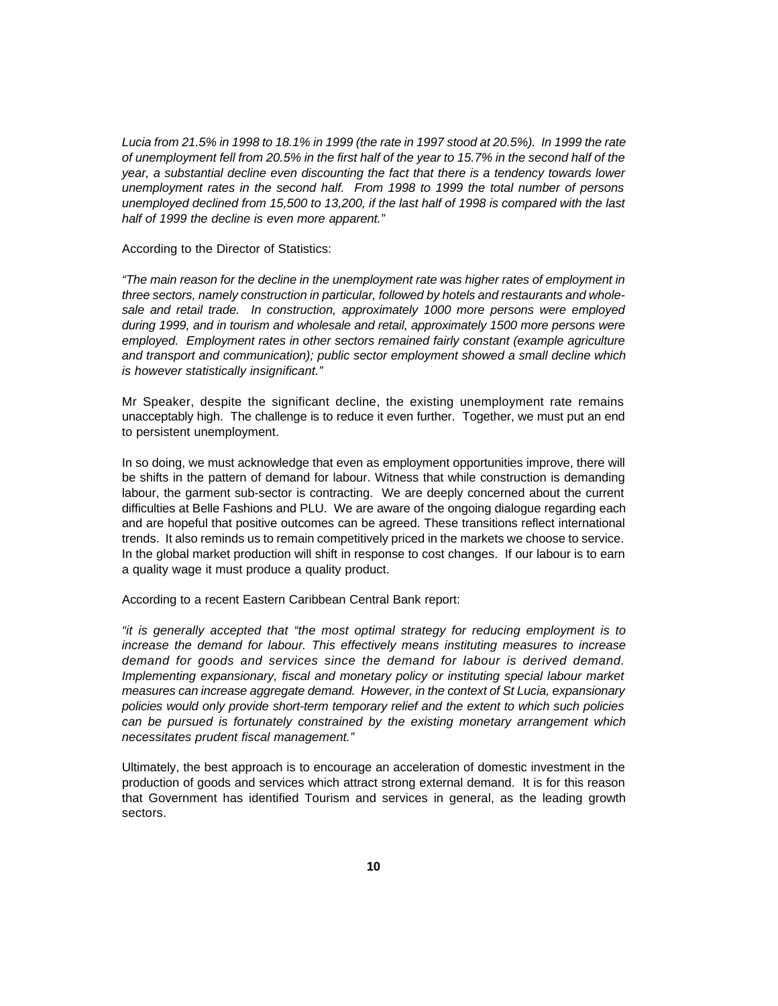*Lucia from 21.5% in 1998 to 18.1% in 1999 (the rate in 1997 stood at 20.5%). In 1999 the rate of unemployment fell from 20.5% in the first half of the year to 15.7% in the second half of the year, a substantial decline even discounting the fact that there is a tendency towards lower unemployment rates in the second half. From 1998 to 1999 the total number of persons unemployed declined from 15,500 to 13,200, if the last half of 1998 is compared with the last half of 1999 the decline is even more apparent."*

According to the Director of Statistics:

*"The main reason for the decline in the unemployment rate was higher rates of employment in three sectors, namely construction in particular, followed by hotels and restaurants and wholesale and retail trade. In construction, approximately 1000 more persons were employed during 1999, and in tourism and wholesale and retail, approximately 1500 more persons were employed. Employment rates in other sectors remained fairly constant (example agriculture and transport and communication); public sector employment showed a small decline which is however statistically insignificant."*

Mr Speaker, despite the significant decline, the existing unemployment rate remains unacceptably high. The challenge is to reduce it even further. Together, we must put an end to persistent unemployment.

In so doing, we must acknowledge that even as employment opportunities improve, there will be shifts in the pattern of demand for labour. Witness that while construction is demanding labour, the garment sub-sector is contracting. We are deeply concerned about the current difficulties at Belle Fashions and PLU. We are aware of the ongoing dialogue regarding each and are hopeful that positive outcomes can be agreed. These transitions reflect international trends. It also reminds us to remain competitively priced in the markets we choose to service. In the global market production will shift in response to cost changes. If our labour is to earn a quality wage it must produce a quality product.

According to a recent Eastern Caribbean Central Bank report:

*"it is generally accepted that "the most optimal strategy for reducing employment is to increase the demand for labour. This effectively means instituting measures to increase demand for goods and services since the demand for labour is derived demand. Implementing expansionary, fiscal and monetary policy or instituting special labour market measures can increase aggregate demand. However, in the context of St Lucia, expansionary policies would only provide short-term temporary relief and the extent to which such policies can be pursued is fortunately constrained by the existing monetary arrangement which necessitates prudent fiscal management."*

Ultimately, the best approach is to encourage an acceleration of domestic investment in the production of goods and services which attract strong external demand. It is for this reason that Government has identified Tourism and services in general, as the leading growth sectors.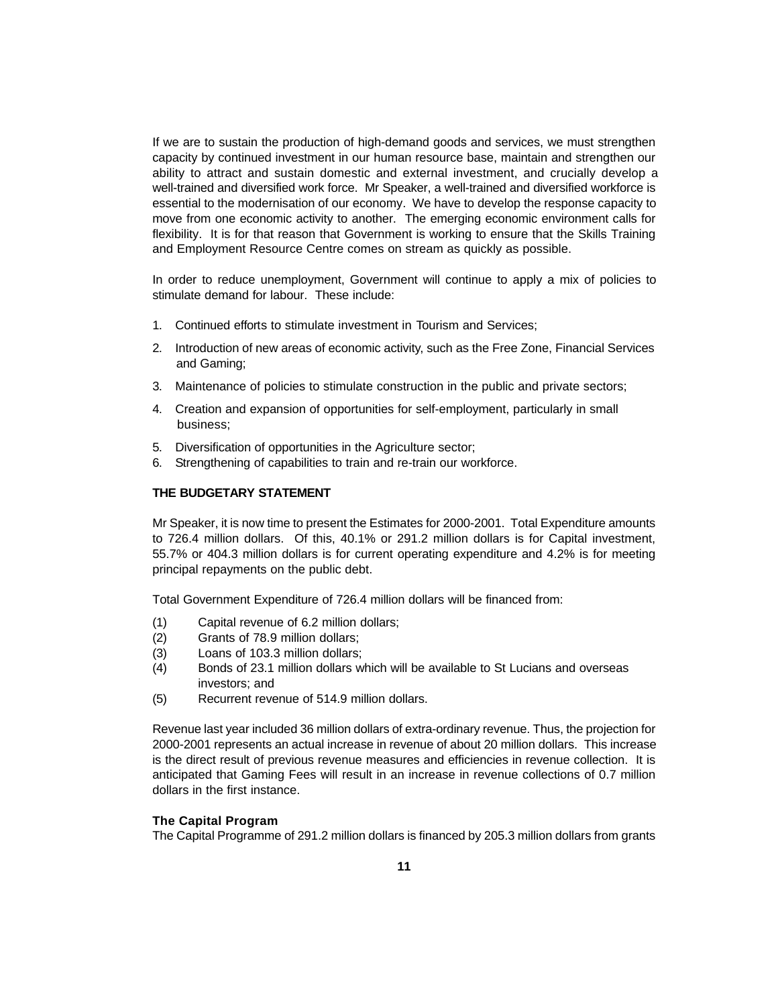If we are to sustain the production of high-demand goods and services, we must strengthen capacity by continued investment in our human resource base, maintain and strengthen our ability to attract and sustain domestic and external investment, and crucially develop a well-trained and diversified work force. Mr Speaker, a well-trained and diversified workforce is essential to the modernisation of our economy. We have to develop the response capacity to move from one economic activity to another. The emerging economic environment calls for flexibility. It is for that reason that Government is working to ensure that the Skills Training and Employment Resource Centre comes on stream as quickly as possible.

In order to reduce unemployment, Government will continue to apply a mix of policies to stimulate demand for labour. These include:

- 1. Continued efforts to stimulate investment in Tourism and Services;
- 2. Introduction of new areas of economic activity, such as the Free Zone, Financial Services and Gaming;
- 3. Maintenance of policies to stimulate construction in the public and private sectors;
- 4. Creation and expansion of opportunities for self-employment, particularly in small business;
- 5. Diversification of opportunities in the Agriculture sector;
- 6. Strengthening of capabilities to train and re-train our workforce.

### **THE BUDGETARY STATEMENT**

Mr Speaker, it is now time to present the Estimates for 2000-2001. Total Expenditure amounts to 726.4 million dollars. Of this, 40.1% or 291.2 million dollars is for Capital investment, 55.7% or 404.3 million dollars is for current operating expenditure and 4.2% is for meeting principal repayments on the public debt.

Total Government Expenditure of 726.4 million dollars will be financed from:

- (1) Capital revenue of 6.2 million dollars;
- (2) Grants of 78.9 million dollars;
- (3) Loans of 103.3 million dollars;
- (4) Bonds of 23.1 million dollars which will be available to St Lucians and overseas investors; and
- (5) Recurrent revenue of 514.9 million dollars.

Revenue last year included 36 million dollars of extra-ordinary revenue. Thus, the projection for 2000-2001 represents an actual increase in revenue of about 20 million dollars. This increase is the direct result of previous revenue measures and efficiencies in revenue collection. It is anticipated that Gaming Fees will result in an increase in revenue collections of 0.7 million dollars in the first instance.

### **The Capital Program**

The Capital Programme of 291.2 million dollars is financed by 205.3 million dollars from grants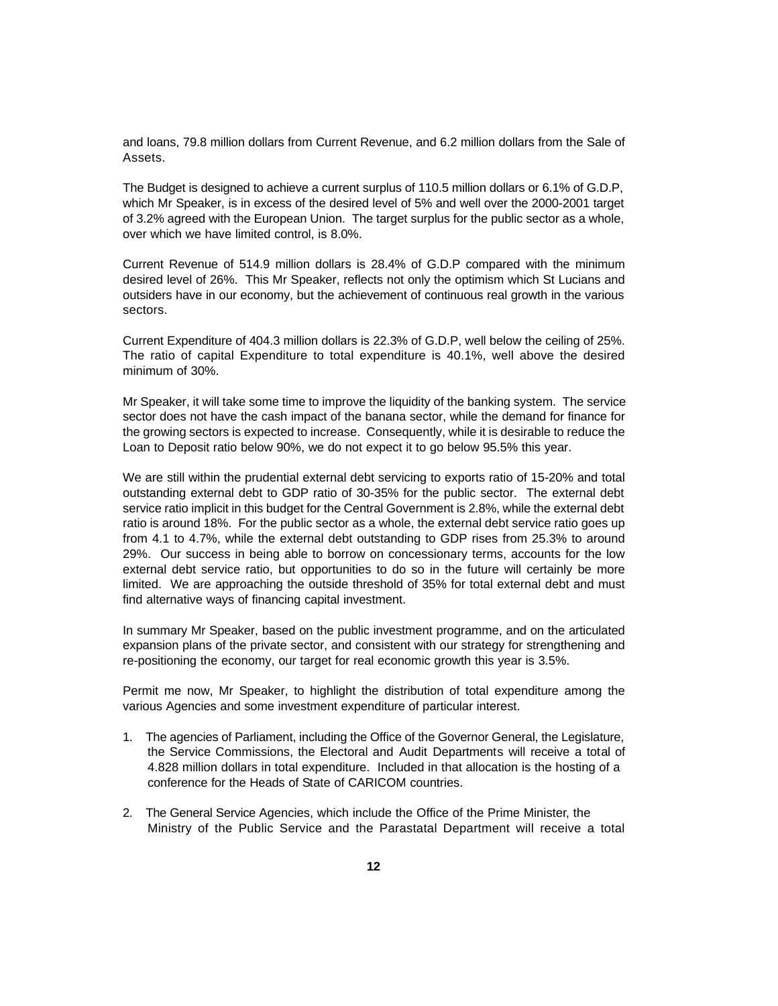and loans, 79.8 million dollars from Current Revenue, and 6.2 million dollars from the Sale of Assets.

The Budget is designed to achieve a current surplus of 110.5 million dollars or 6.1% of G.D.P, which Mr Speaker, is in excess of the desired level of 5% and well over the 2000-2001 target of 3.2% agreed with the European Union. The target surplus for the public sector as a whole, over which we have limited control, is 8.0%.

Current Revenue of 514.9 million dollars is 28.4% of G.D.P compared with the minimum desired level of 26%. This Mr Speaker, reflects not only the optimism which St Lucians and outsiders have in our economy, but the achievement of continuous real growth in the various sectors.

Current Expenditure of 404.3 million dollars is 22.3% of G.D.P, well below the ceiling of 25%. The ratio of capital Expenditure to total expenditure is 40.1%, well above the desired minimum of 30%.

Mr Speaker, it will take some time to improve the liquidity of the banking system. The service sector does not have the cash impact of the banana sector, while the demand for finance for the growing sectors is expected to increase. Consequently, while it is desirable to reduce the Loan to Deposit ratio below 90%, we do not expect it to go below 95.5% this year.

We are still within the prudential external debt servicing to exports ratio of 15-20% and total outstanding external debt to GDP ratio of 30-35% for the public sector. The external debt service ratio implicit in this budget for the Central Government is 2.8%, while the external debt ratio is around 18%. For the public sector as a whole, the external debt service ratio goes up from 4.1 to 4.7%, while the external debt outstanding to GDP rises from 25.3% to around 29%. Our success in being able to borrow on concessionary terms, accounts for the low external debt service ratio, but opportunities to do so in the future will certainly be more limited. We are approaching the outside threshold of 35% for total external debt and must find alternative ways of financing capital investment.

In summary Mr Speaker, based on the public investment programme, and on the articulated expansion plans of the private sector, and consistent with our strategy for strengthening and re-positioning the economy, our target for real economic growth this year is 3.5%.

Permit me now, Mr Speaker, to highlight the distribution of total expenditure among the various Agencies and some investment expenditure of particular interest.

- 1. The agencies of Parliament, including the Office of the Governor General, the Legislature, the Service Commissions, the Electoral and Audit Departments will receive a total of 4.828 million dollars in total expenditure. Included in that allocation is the hosting of a conference for the Heads of State of CARICOM countries.
- 2. The General Service Agencies, which include the Office of the Prime Minister, the Ministry of the Public Service and the Parastatal Department will receive a total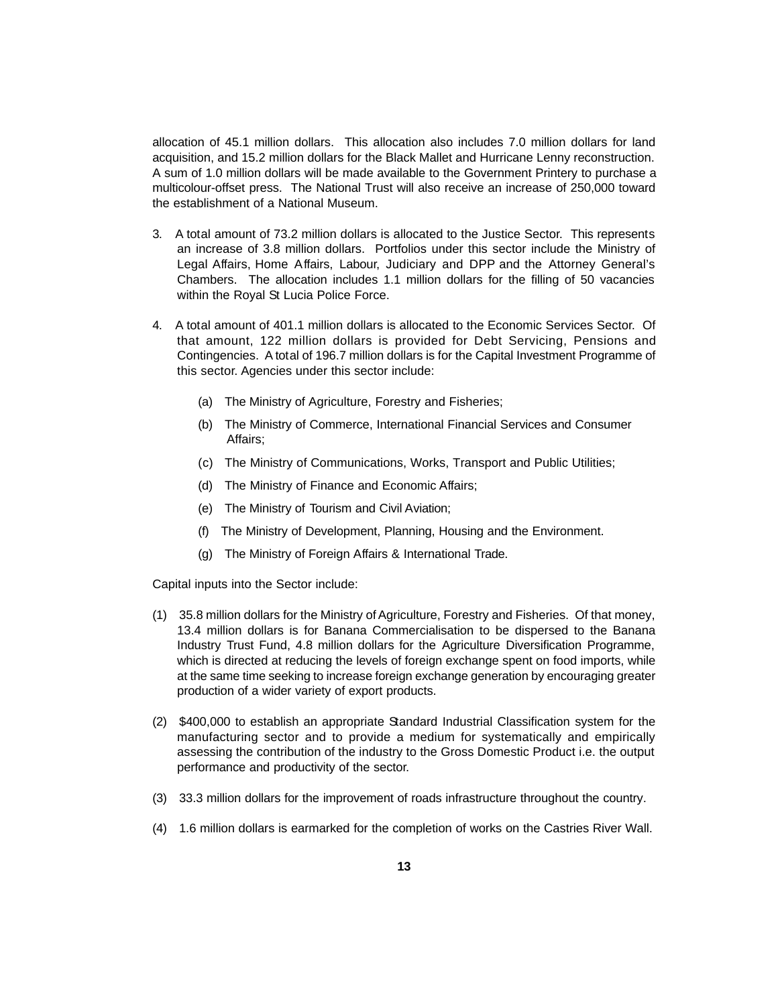allocation of 45.1 million dollars. This allocation also includes 7.0 million dollars for land acquisition, and 15.2 million dollars for the Black Mallet and Hurricane Lenny reconstruction. A sum of 1.0 million dollars will be made available to the Government Printery to purchase a multicolour-offset press. The National Trust will also receive an increase of 250,000 toward the establishment of a National Museum.

- 3. A total amount of 73.2 million dollars is allocated to the Justice Sector. This represents an increase of 3.8 million dollars. Portfolios under this sector include the Ministry of Legal Affairs, Home Affairs, Labour, Judiciary and DPP and the Attorney General's Chambers. The allocation includes 1.1 million dollars for the filling of 50 vacancies within the Royal St Lucia Police Force.
- 4. A total amount of 401.1 million dollars is allocated to the Economic Services Sector. Of that amount, 122 million dollars is provided for Debt Servicing, Pensions and Contingencies. A total of 196.7 million dollars is for the Capital Investment Programme of this sector. Agencies under this sector include:
	- (a) The Ministry of Agriculture, Forestry and Fisheries;
	- (b) The Ministry of Commerce, International Financial Services and Consumer Affairs;
	- (c) The Ministry of Communications, Works, Transport and Public Utilities;
	- (d) The Ministry of Finance and Economic Affairs;
	- (e) The Ministry of Tourism and Civil Aviation;
	- (f) The Ministry of Development, Planning, Housing and the Environment.
	- (g) The Ministry of Foreign Affairs & International Trade.

Capital inputs into the Sector include:

- (1) 35.8 million dollars for the Ministry of Agriculture, Forestry and Fisheries. Of that money, 13.4 million dollars is for Banana Commercialisation to be dispersed to the Banana Industry Trust Fund, 4.8 million dollars for the Agriculture Diversification Programme, which is directed at reducing the levels of foreign exchange spent on food imports, while at the same time seeking to increase foreign exchange generation by encouraging greater production of a wider variety of export products.
- (2) \$400,000 to establish an appropriate Standard Industrial Classification system for the manufacturing sector and to provide a medium for systematically and empirically assessing the contribution of the industry to the Gross Domestic Product i.e. the output performance and productivity of the sector.
- (3) 33.3 million dollars for the improvement of roads infrastructure throughout the country.
- (4) 1.6 million dollars is earmarked for the completion of works on the Castries River Wall.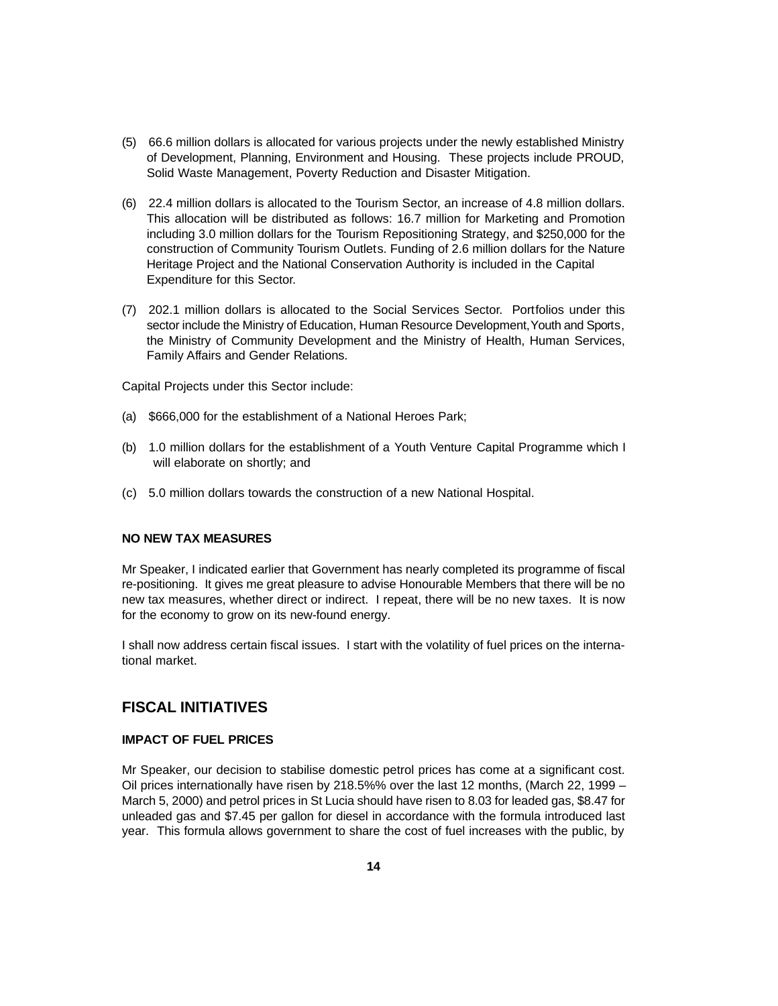- (5) 66.6 million dollars is allocated for various projects under the newly established Ministry of Development, Planning, Environment and Housing. These projects include PROUD, Solid Waste Management, Poverty Reduction and Disaster Mitigation.
- (6) 22.4 million dollars is allocated to the Tourism Sector, an increase of 4.8 million dollars. This allocation will be distributed as follows: 16.7 million for Marketing and Promotion including 3.0 million dollars for the Tourism Repositioning Strategy, and \$250,000 for the construction of Community Tourism Outlets. Funding of 2.6 million dollars for the Nature Heritage Project and the National Conservation Authority is included in the Capital Expenditure for this Sector.
- (7) 202.1 million dollars is allocated to the Social Services Sector. Portfolios under this sector include the Ministry of Education, Human Resource Development, Youth and Sports, the Ministry of Community Development and the Ministry of Health, Human Services, Family Affairs and Gender Relations.

Capital Projects under this Sector include:

- (a) \$666,000 for the establishment of a National Heroes Park;
- (b) 1.0 million dollars for the establishment of a Youth Venture Capital Programme which I will elaborate on shortly; and
- (c) 5.0 million dollars towards the construction of a new National Hospital.

# **NO NEW TAX MEASURES**

Mr Speaker, I indicated earlier that Government has nearly completed its programme of fiscal re-positioning. It gives me great pleasure to advise Honourable Members that there will be no new tax measures, whether direct or indirect. I repeat, there will be no new taxes. It is now for the economy to grow on its new-found energy.

I shall now address certain fiscal issues. I start with the volatility of fuel prices on the international market.

# **FISCAL INITIATIVES**

# **IMPACT OF FUEL PRICES**

Mr Speaker, our decision to stabilise domestic petrol prices has come at a significant cost. Oil prices internationally have risen by 218.5%% over the last 12 months, (March 22, 1999 – March 5, 2000) and petrol prices in St Lucia should have risen to 8.03 for leaded gas, \$8.47 for unleaded gas and \$7.45 per gallon for diesel in accordance with the formula introduced last year. This formula allows government to share the cost of fuel increases with the public, by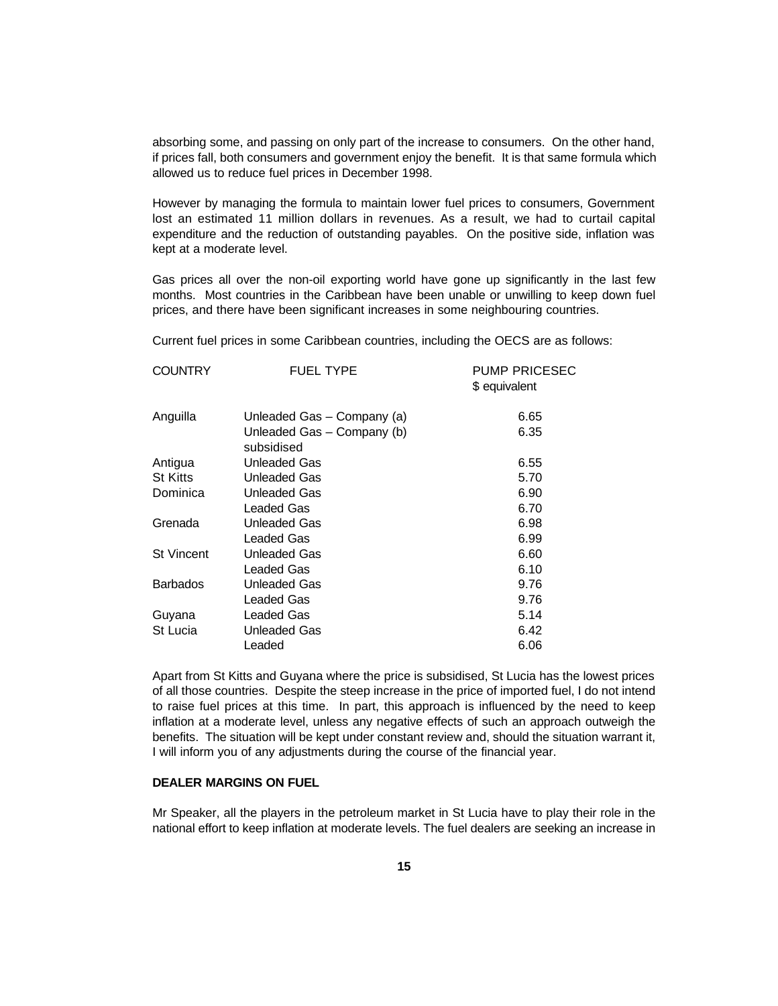absorbing some, and passing on only part of the increase to consumers. On the other hand, if prices fall, both consumers and government enjoy the benefit. It is that same formula which allowed us to reduce fuel prices in December 1998.

However by managing the formula to maintain lower fuel prices to consumers, Government lost an estimated 11 million dollars in revenues. As a result, we had to curtail capital expenditure and the reduction of outstanding payables. On the positive side, inflation was kept at a moderate level.

Gas prices all over the non-oil exporting world have gone up significantly in the last few months. Most countries in the Caribbean have been unable or unwilling to keep down fuel prices, and there have been significant increases in some neighbouring countries.

Current fuel prices in some Caribbean countries, including the OECS are as follows:

| <b>COUNTRY</b>    | <b>FUEL TYPE</b>                         | <b>PUMP PRICESEC</b><br>\$ equivalent |
|-------------------|------------------------------------------|---------------------------------------|
| Anguilla          | Unleaded Gas - Company (a)               | 6.65                                  |
|                   | Unleaded Gas – Company (b)<br>subsidised | 6.35                                  |
| Antigua           | Unleaded Gas                             | 6.55                                  |
| <b>St Kitts</b>   | Unleaded Gas                             | 5.70                                  |
| Dominica          | Unleaded Gas                             | 6.90                                  |
|                   | Leaded Gas                               | 6.70                                  |
| Grenada           | Unleaded Gas                             | 6.98                                  |
|                   | Leaded Gas                               | 6.99                                  |
| <b>St Vincent</b> | Unleaded Gas                             | 6.60                                  |
|                   | Leaded Gas                               | 6.10                                  |
| <b>Barbados</b>   | Unleaded Gas                             | 9.76                                  |
|                   | Leaded Gas                               | 9.76                                  |
| Guyana            | Leaded Gas                               | 5.14                                  |
| St Lucia          | Unleaded Gas                             | 6.42                                  |
|                   | Leaded                                   | 6.06                                  |
|                   |                                          |                                       |

Apart from St Kitts and Guyana where the price is subsidised, St Lucia has the lowest prices of all those countries. Despite the steep increase in the price of imported fuel, I do not intend to raise fuel prices at this time. In part, this approach is influenced by the need to keep inflation at a moderate level, unless any negative effects of such an approach outweigh the benefits. The situation will be kept under constant review and, should the situation warrant it, I will inform you of any adjustments during the course of the financial year.

# **DEALER MARGINS ON FUEL**

Mr Speaker, all the players in the petroleum market in St Lucia have to play their role in the national effort to keep inflation at moderate levels. The fuel dealers are seeking an increase in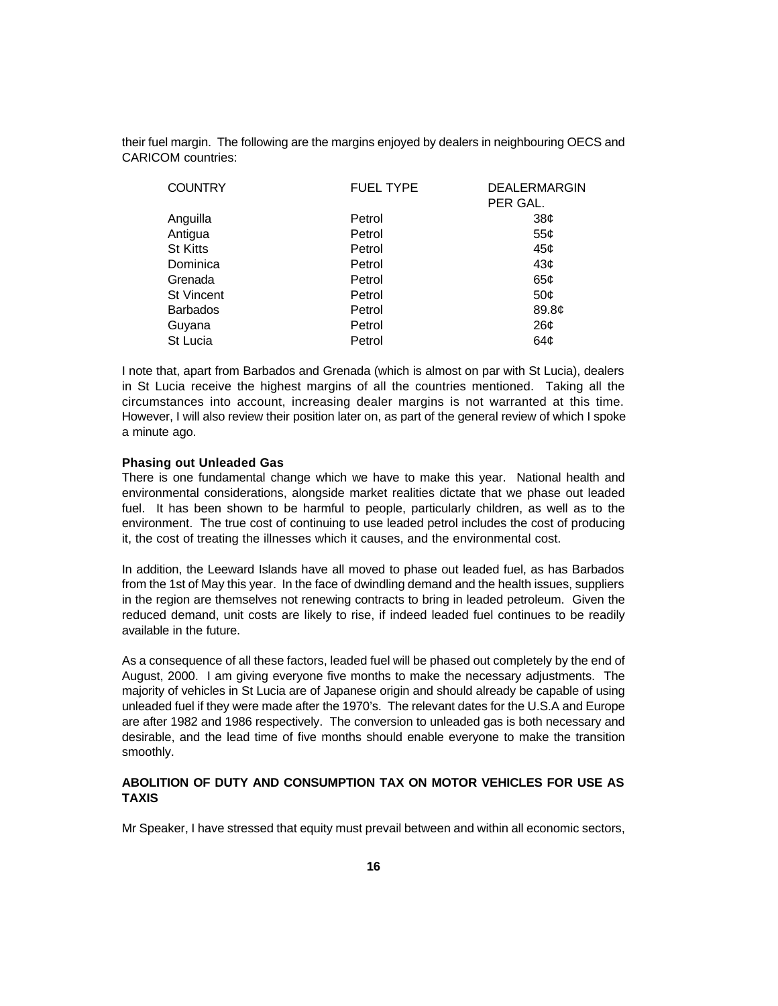their fuel margin. The following are the margins enjoyed by dealers in neighbouring OECS and CARICOM countries:

| <b>COUNTRY</b>    | <b>FUEL TYPE</b> | <b>DEALERMARGIN</b> |
|-------------------|------------------|---------------------|
|                   |                  | PER GAL.            |
| Anguilla          | Petrol           | 38¢                 |
| Antigua           | Petrol           | 55 <sub>c</sub>     |
| <b>St Kitts</b>   | Petrol           | 45¢                 |
| Dominica          | Petrol           | 43¢                 |
| Grenada           | Petrol           | 65¢                 |
| <b>St Vincent</b> | Petrol           | 50¢                 |
| <b>Barbados</b>   | Petrol           | 89.8 <sub>¢</sub>   |
| Guyana            | Petrol           | 26¢                 |
| St Lucia          | Petrol           | 64¢                 |

I note that, apart from Barbados and Grenada (which is almost on par with St Lucia), dealers in St Lucia receive the highest margins of all the countries mentioned. Taking all the circumstances into account, increasing dealer margins is not warranted at this time. However, I will also review their position later on, as part of the general review of which I spoke a minute ago.

### **Phasing out Unleaded Gas**

There is one fundamental change which we have to make this year. National health and environmental considerations, alongside market realities dictate that we phase out leaded fuel. It has been shown to be harmful to people, particularly children, as well as to the environment. The true cost of continuing to use leaded petrol includes the cost of producing it, the cost of treating the illnesses which it causes, and the environmental cost.

In addition, the Leeward Islands have all moved to phase out leaded fuel, as has Barbados from the 1st of May this year. In the face of dwindling demand and the health issues, suppliers in the region are themselves not renewing contracts to bring in leaded petroleum. Given the reduced demand, unit costs are likely to rise, if indeed leaded fuel continues to be readily available in the future.

As a consequence of all these factors, leaded fuel will be phased out completely by the end of August, 2000. I am giving everyone five months to make the necessary adjustments. The majority of vehicles in St Lucia are of Japanese origin and should already be capable of using unleaded fuel if they were made after the 1970's. The relevant dates for the U.S.A and Europe are after 1982 and 1986 respectively. The conversion to unleaded gas is both necessary and desirable, and the lead time of five months should enable everyone to make the transition smoothly.

# **ABOLITION OF DUTY AND CONSUMPTION TAX ON MOTOR VEHICLES FOR USE AS TAXIS**

Mr Speaker, I have stressed that equity must prevail between and within all economic sectors,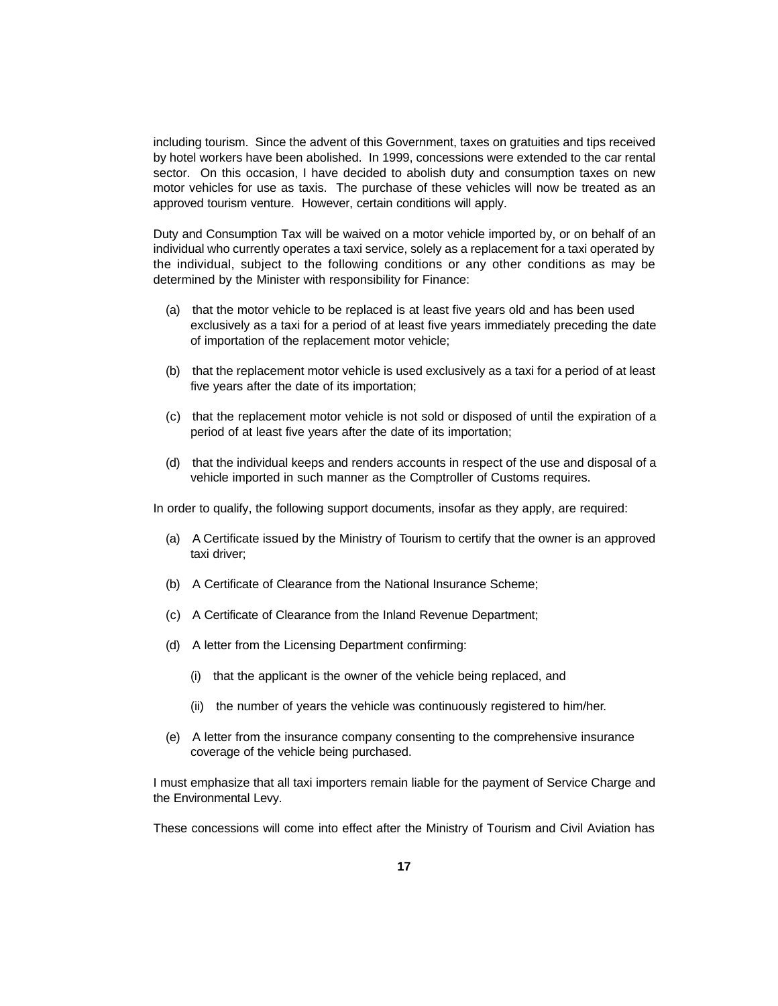including tourism. Since the advent of this Government, taxes on gratuities and tips received by hotel workers have been abolished. In 1999, concessions were extended to the car rental sector. On this occasion, I have decided to abolish duty and consumption taxes on new motor vehicles for use as taxis. The purchase of these vehicles will now be treated as an approved tourism venture. However, certain conditions will apply.

Duty and Consumption Tax will be waived on a motor vehicle imported by, or on behalf of an individual who currently operates a taxi service, solely as a replacement for a taxi operated by the individual, subject to the following conditions or any other conditions as may be determined by the Minister with responsibility for Finance:

- (a) that the motor vehicle to be replaced is at least five years old and has been used exclusively as a taxi for a period of at least five years immediately preceding the date of importation of the replacement motor vehicle;
- (b) that the replacement motor vehicle is used exclusively as a taxi for a period of at least five years after the date of its importation;
- (c) that the replacement motor vehicle is not sold or disposed of until the expiration of a period of at least five years after the date of its importation;
- (d) that the individual keeps and renders accounts in respect of the use and disposal of a vehicle imported in such manner as the Comptroller of Customs requires.

In order to qualify, the following support documents, insofar as they apply, are required:

- (a) A Certificate issued by the Ministry of Tourism to certify that the owner is an approved taxi driver;
- (b) A Certificate of Clearance from the National Insurance Scheme;
- (c) A Certificate of Clearance from the Inland Revenue Department;
- (d) A letter from the Licensing Department confirming:
	- (i) that the applicant is the owner of the vehicle being replaced, and
	- (ii) the number of years the vehicle was continuously registered to him/her.
- (e) A letter from the insurance company consenting to the comprehensive insurance coverage of the vehicle being purchased.

I must emphasize that all taxi importers remain liable for the payment of Service Charge and the Environmental Levy.

These concessions will come into effect after the Ministry of Tourism and Civil Aviation has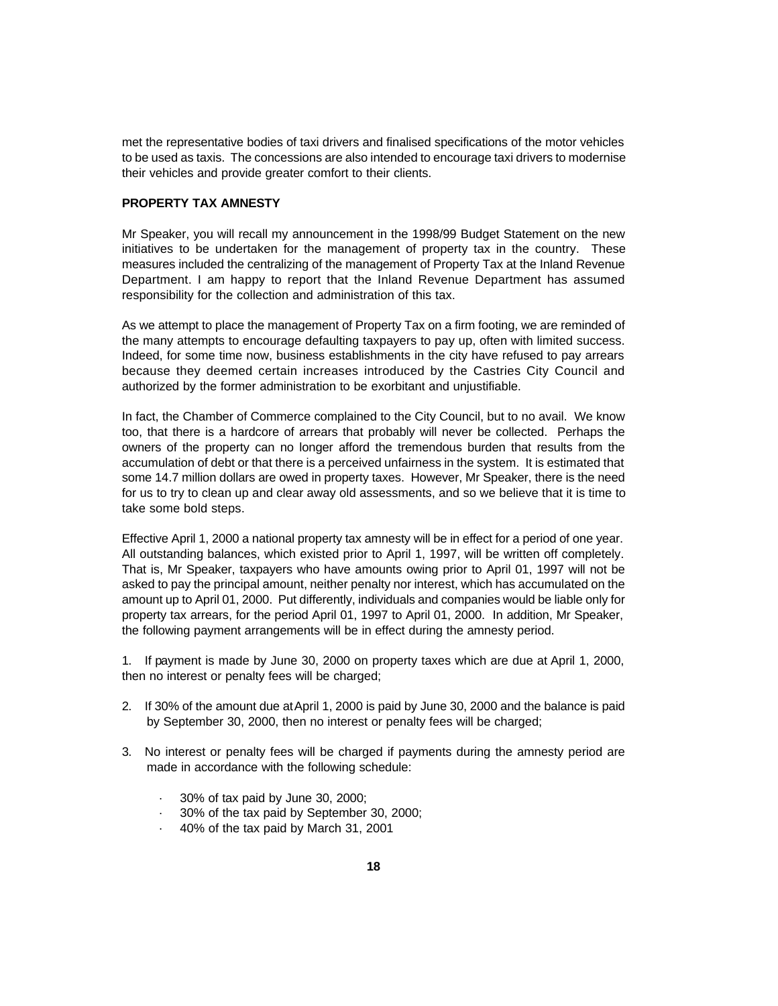met the representative bodies of taxi drivers and finalised specifications of the motor vehicles to be used as taxis. The concessions are also intended to encourage taxi drivers to modernise their vehicles and provide greater comfort to their clients.

# **PROPERTY TAX AMNESTY**

Mr Speaker, you will recall my announcement in the 1998/99 Budget Statement on the new initiatives to be undertaken for the management of property tax in the country. These measures included the centralizing of the management of Property Tax at the Inland Revenue Department. I am happy to report that the Inland Revenue Department has assumed responsibility for the collection and administration of this tax.

As we attempt to place the management of Property Tax on a firm footing, we are reminded of the many attempts to encourage defaulting taxpayers to pay up, often with limited success. Indeed, for some time now, business establishments in the city have refused to pay arrears because they deemed certain increases introduced by the Castries City Council and authorized by the former administration to be exorbitant and unjustifiable.

In fact, the Chamber of Commerce complained to the City Council, but to no avail. We know too, that there is a hardcore of arrears that probably will never be collected. Perhaps the owners of the property can no longer afford the tremendous burden that results from the accumulation of debt or that there is a perceived unfairness in the system. It is estimated that some 14.7 million dollars are owed in property taxes. However, Mr Speaker, there is the need for us to try to clean up and clear away old assessments, and so we believe that it is time to take some bold steps.

Effective April 1, 2000 a national property tax amnesty will be in effect for a period of one year. All outstanding balances, which existed prior to April 1, 1997, will be written off completely. That is, Mr Speaker, taxpayers who have amounts owing prior to April 01, 1997 will not be asked to pay the principal amount, neither penalty nor interest, which has accumulated on the amount up to April 01, 2000. Put differently, individuals and companies would be liable only for property tax arrears, for the period April 01, 1997 to April 01, 2000. In addition, Mr Speaker, the following payment arrangements will be in effect during the amnesty period.

1. If payment is made by June 30, 2000 on property taxes which are due at April 1, 2000, then no interest or penalty fees will be charged;

- 2. If 30% of the amount due at April 1, 2000 is paid by June 30, 2000 and the balance is paid by September 30, 2000, then no interest or penalty fees will be charged;
- 3. No interest or penalty fees will be charged if payments during the amnesty period are made in accordance with the following schedule:
	- · 30% of tax paid by June 30, 2000;
	- · 30% of the tax paid by September 30, 2000;
	- · 40% of the tax paid by March 31, 2001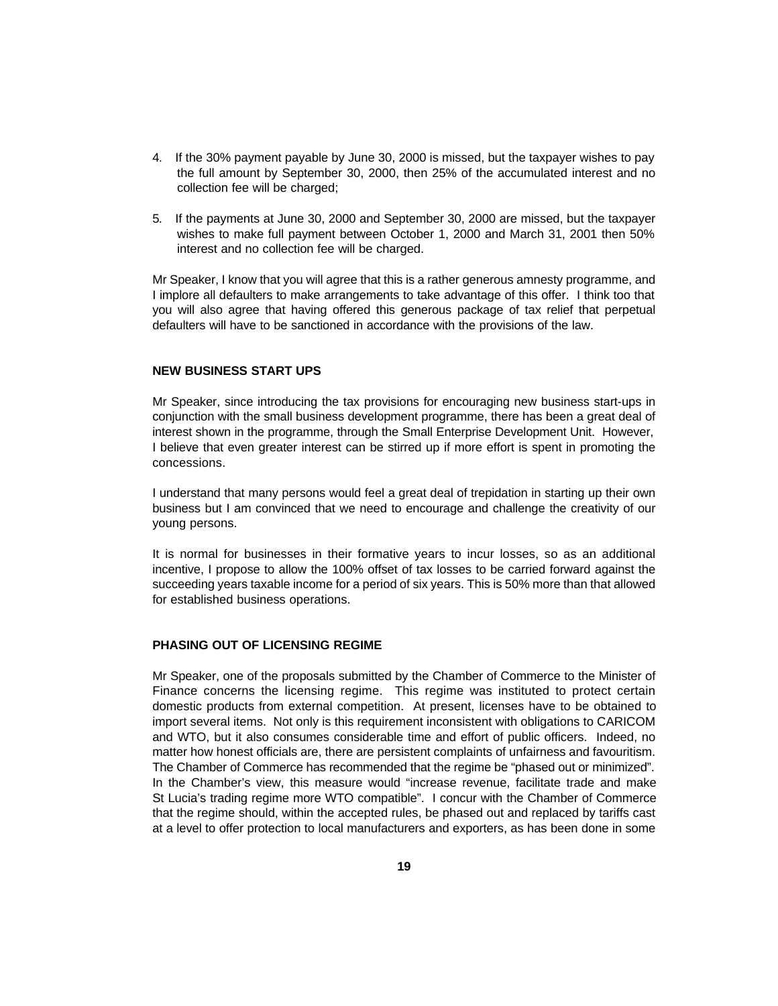- 4. If the 30% payment payable by June 30, 2000 is missed, but the taxpayer wishes to pay the full amount by September 30, 2000, then 25% of the accumulated interest and no collection fee will be charged;
- 5. If the payments at June 30, 2000 and September 30, 2000 are missed, but the taxpayer wishes to make full payment between October 1, 2000 and March 31, 2001 then 50% interest and no collection fee will be charged.

Mr Speaker, I know that you will agree that this is a rather generous amnesty programme, and I implore all defaulters to make arrangements to take advantage of this offer. I think too that you will also agree that having offered this generous package of tax relief that perpetual defaulters will have to be sanctioned in accordance with the provisions of the law.

# **NEW BUSINESS START UPS**

Mr Speaker, since introducing the tax provisions for encouraging new business start-ups in conjunction with the small business development programme, there has been a great deal of interest shown in the programme, through the Small Enterprise Development Unit. However, I believe that even greater interest can be stirred up if more effort is spent in promoting the concessions.

I understand that many persons would feel a great deal of trepidation in starting up their own business but I am convinced that we need to encourage and challenge the creativity of our young persons.

It is normal for businesses in their formative years to incur losses, so as an additional incentive, I propose to allow the 100% offset of tax losses to be carried forward against the succeeding years taxable income for a period of six years. This is 50% more than that allowed for established business operations.

# **PHASING OUT OF LICENSING REGIME**

Mr Speaker, one of the proposals submitted by the Chamber of Commerce to the Minister of Finance concerns the licensing regime. This regime was instituted to protect certain domestic products from external competition. At present, licenses have to be obtained to import several items. Not only is this requirement inconsistent with obligations to CARICOM and WTO, but it also consumes considerable time and effort of public officers. Indeed, no matter how honest officials are, there are persistent complaints of unfairness and favouritism. The Chamber of Commerce has recommended that the regime be "phased out or minimized". In the Chamber's view, this measure would "increase revenue, facilitate trade and make St Lucia's trading regime more WTO compatible". I concur with the Chamber of Commerce that the regime should, within the accepted rules, be phased out and replaced by tariffs cast at a level to offer protection to local manufacturers and exporters, as has been done in some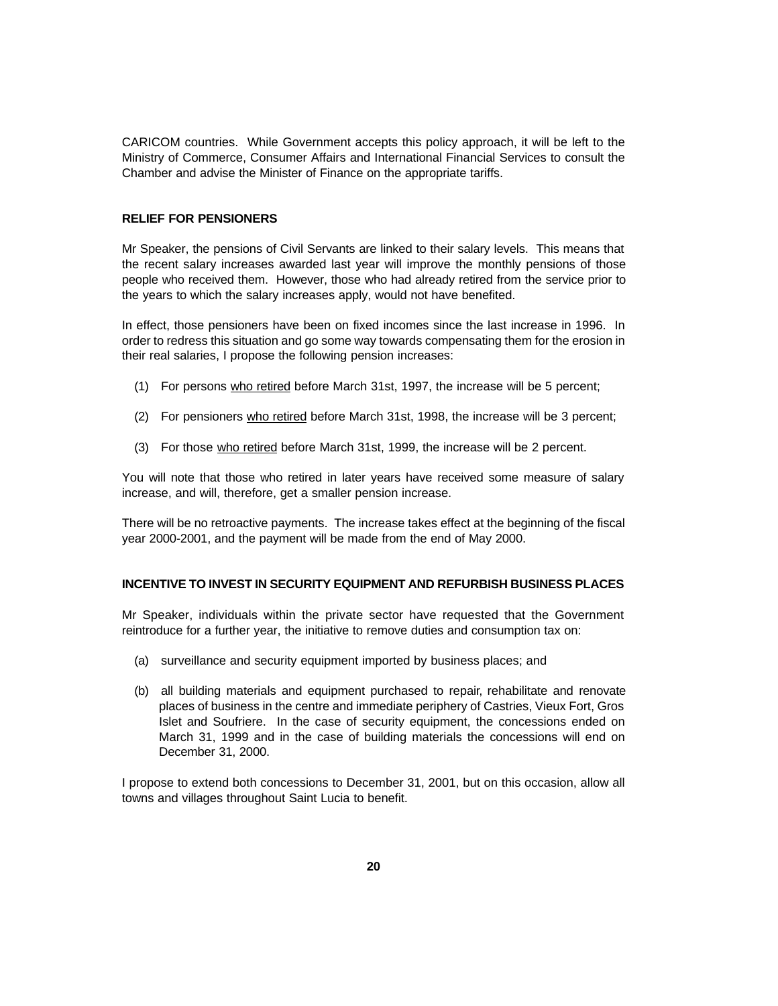CARICOM countries. While Government accepts this policy approach, it will be left to the Ministry of Commerce, Consumer Affairs and International Financial Services to consult the Chamber and advise the Minister of Finance on the appropriate tariffs.

### **RELIEF FOR PENSIONERS**

Mr Speaker, the pensions of Civil Servants are linked to their salary levels. This means that the recent salary increases awarded last year will improve the monthly pensions of those people who received them. However, those who had already retired from the service prior to the years to which the salary increases apply, would not have benefited.

In effect, those pensioners have been on fixed incomes since the last increase in 1996. In order to redress this situation and go some way towards compensating them for the erosion in their real salaries, I propose the following pension increases:

- (1) For persons who retired before March 31st, 1997, the increase will be 5 percent;
- (2) For pensioners who retired before March 31st, 1998, the increase will be 3 percent;
- (3) For those who retired before March 31st, 1999, the increase will be 2 percent.

You will note that those who retired in later years have received some measure of salary increase, and will, therefore, get a smaller pension increase.

There will be no retroactive payments. The increase takes effect at the beginning of the fiscal year 2000-2001, and the payment will be made from the end of May 2000.

### **INCENTIVE TO INVEST IN SECURITY EQUIPMENT AND REFURBISH BUSINESS PLACES**

Mr Speaker, individuals within the private sector have requested that the Government reintroduce for a further year, the initiative to remove duties and consumption tax on:

- (a) surveillance and security equipment imported by business places; and
- (b) all building materials and equipment purchased to repair, rehabilitate and renovate places of business in the centre and immediate periphery of Castries, Vieux Fort, Gros Islet and Soufriere. In the case of security equipment, the concessions ended on March 31, 1999 and in the case of building materials the concessions will end on December 31, 2000.

I propose to extend both concessions to December 31, 2001, but on this occasion, allow all towns and villages throughout Saint Lucia to benefit.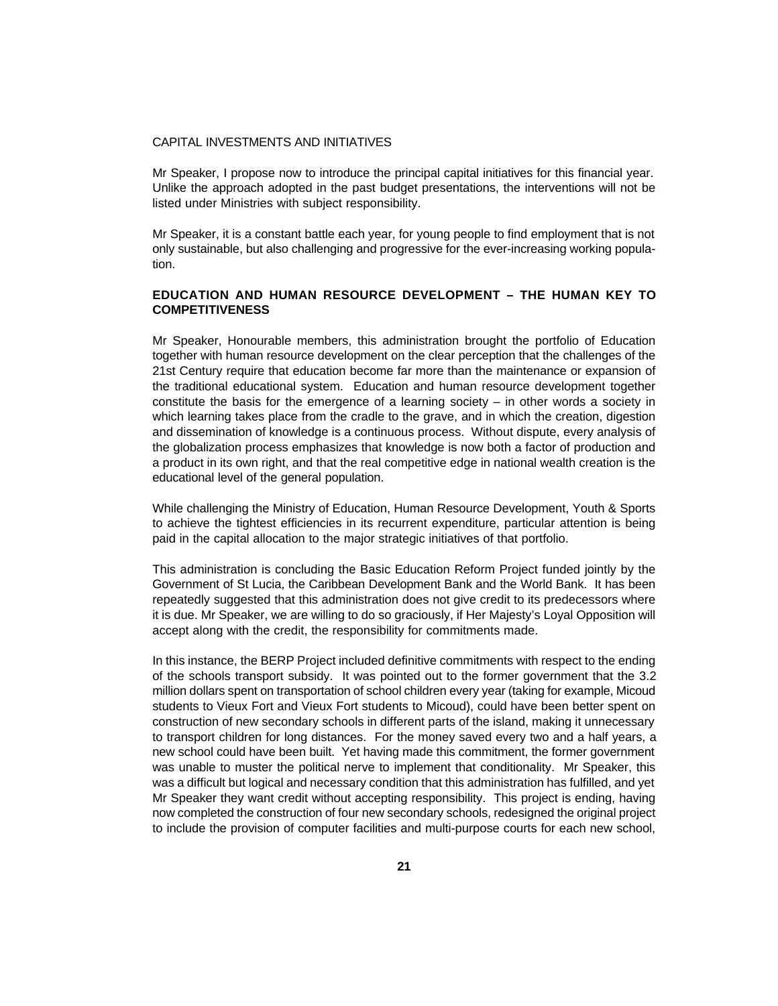### CAPITAL INVESTMENTS AND INITIATIVES

Mr Speaker, I propose now to introduce the principal capital initiatives for this financial year. Unlike the approach adopted in the past budget presentations, the interventions will not be listed under Ministries with subject responsibility.

Mr Speaker, it is a constant battle each year, for young people to find employment that is not only sustainable, but also challenging and progressive for the ever-increasing working population.

# **EDUCATION AND HUMAN RESOURCE DEVELOPMENT – THE HUMAN KEY TO COMPETITIVENESS**

Mr Speaker, Honourable members, this administration brought the portfolio of Education together with human resource development on the clear perception that the challenges of the 21st Century require that education become far more than the maintenance or expansion of the traditional educational system. Education and human resource development together constitute the basis for the emergence of a learning society  $-$  in other words a society in which learning takes place from the cradle to the grave, and in which the creation, digestion and dissemination of knowledge is a continuous process. Without dispute, every analysis of the globalization process emphasizes that knowledge is now both a factor of production and a product in its own right, and that the real competitive edge in national wealth creation is the educational level of the general population.

While challenging the Ministry of Education, Human Resource Development, Youth & Sports to achieve the tightest efficiencies in its recurrent expenditure, particular attention is being paid in the capital allocation to the major strategic initiatives of that portfolio.

This administration is concluding the Basic Education Reform Project funded jointly by the Government of St Lucia, the Caribbean Development Bank and the World Bank. It has been repeatedly suggested that this administration does not give credit to its predecessors where it is due. Mr Speaker, we are willing to do so graciously, if Her Majesty's Loyal Opposition will accept along with the credit, the responsibility for commitments made.

In this instance, the BERP Project included definitive commitments with respect to the ending of the schools transport subsidy. It was pointed out to the former government that the 3.2 million dollars spent on transportation of school children every year (taking for example, Micoud students to Vieux Fort and Vieux Fort students to Micoud), could have been better spent on construction of new secondary schools in different parts of the island, making it unnecessary to transport children for long distances. For the money saved every two and a half years, a new school could have been built. Yet having made this commitment, the former government was unable to muster the political nerve to implement that conditionality. Mr Speaker, this was a difficult but logical and necessary condition that this administration has fulfilled, and yet Mr Speaker they want credit without accepting responsibility. This project is ending, having now completed the construction of four new secondary schools, redesigned the original project to include the provision of computer facilities and multi-purpose courts for each new school,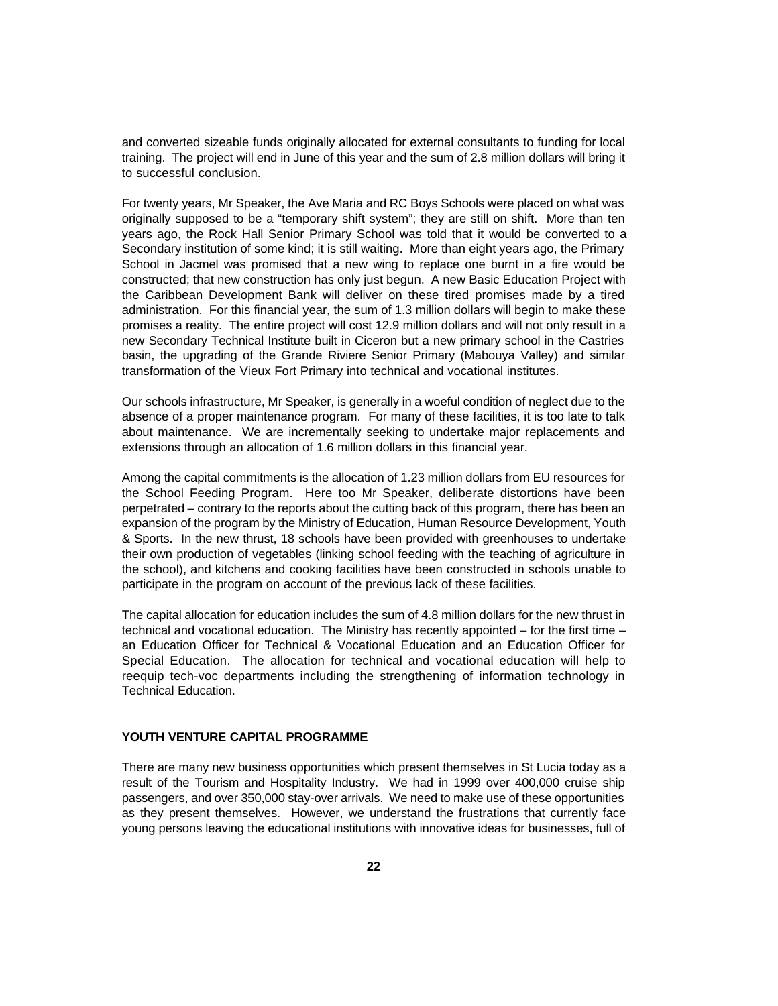and converted sizeable funds originally allocated for external consultants to funding for local training. The project will end in June of this year and the sum of 2.8 million dollars will bring it to successful conclusion.

For twenty years, Mr Speaker, the Ave Maria and RC Boys Schools were placed on what was originally supposed to be a "temporary shift system"; they are still on shift. More than ten years ago, the Rock Hall Senior Primary School was told that it would be converted to a Secondary institution of some kind; it is still waiting. More than eight years ago, the Primary School in Jacmel was promised that a new wing to replace one burnt in a fire would be constructed; that new construction has only just begun. A new Basic Education Project with the Caribbean Development Bank will deliver on these tired promises made by a tired administration. For this financial year, the sum of 1.3 million dollars will begin to make these promises a reality. The entire project will cost 12.9 million dollars and will not only result in a new Secondary Technical Institute built in Ciceron but a new primary school in the Castries basin, the upgrading of the Grande Riviere Senior Primary (Mabouya Valley) and similar transformation of the Vieux Fort Primary into technical and vocational institutes.

Our schools infrastructure, Mr Speaker, is generally in a woeful condition of neglect due to the absence of a proper maintenance program. For many of these facilities, it is too late to talk about maintenance. We are incrementally seeking to undertake major replacements and extensions through an allocation of 1.6 million dollars in this financial year.

Among the capital commitments is the allocation of 1.23 million dollars from EU resources for the School Feeding Program. Here too Mr Speaker, deliberate distortions have been perpetrated – contrary to the reports about the cutting back of this program, there has been an expansion of the program by the Ministry of Education, Human Resource Development, Youth & Sports. In the new thrust, 18 schools have been provided with greenhouses to undertake their own production of vegetables (linking school feeding with the teaching of agriculture in the school), and kitchens and cooking facilities have been constructed in schools unable to participate in the program on account of the previous lack of these facilities.

The capital allocation for education includes the sum of 4.8 million dollars for the new thrust in technical and vocational education. The Ministry has recently appointed – for the first time – an Education Officer for Technical & Vocational Education and an Education Officer for Special Education. The allocation for technical and vocational education will help to reequip tech-voc departments including the strengthening of information technology in Technical Education.

## **YOUTH VENTURE CAPITAL PROGRAMME**

There are many new business opportunities which present themselves in St Lucia today as a result of the Tourism and Hospitality Industry. We had in 1999 over 400,000 cruise ship passengers, and over 350,000 stay-over arrivals. We need to make use of these opportunities as they present themselves. However, we understand the frustrations that currently face young persons leaving the educational institutions with innovative ideas for businesses, full of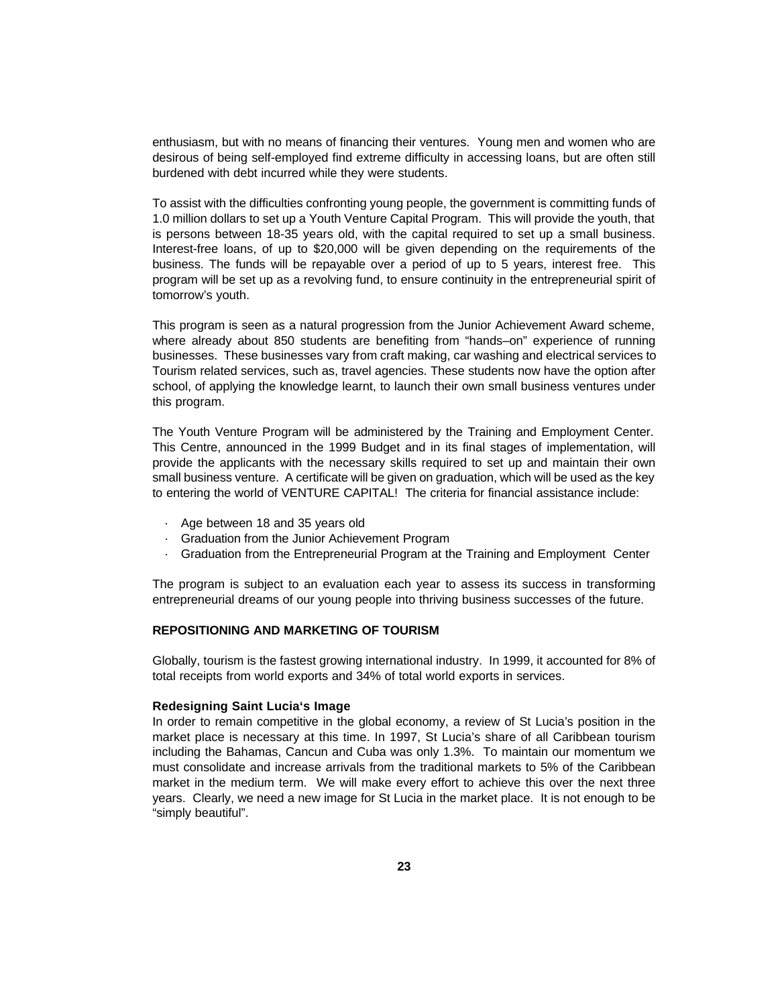enthusiasm, but with no means of financing their ventures. Young men and women who are desirous of being self-employed find extreme difficulty in accessing loans, but are often still burdened with debt incurred while they were students.

To assist with the difficulties confronting young people, the government is committing funds of 1.0 million dollars to set up a Youth Venture Capital Program. This will provide the youth, that is persons between 18-35 years old, with the capital required to set up a small business. Interest-free loans, of up to \$20,000 will be given depending on the requirements of the business. The funds will be repayable over a period of up to 5 years, interest free. This program will be set up as a revolving fund, to ensure continuity in the entrepreneurial spirit of tomorrow's youth.

This program is seen as a natural progression from the Junior Achievement Award scheme, where already about 850 students are benefiting from "hands–on" experience of running businesses. These businesses vary from craft making, car washing and electrical services to Tourism related services, such as, travel agencies. These students now have the option after school, of applying the knowledge learnt, to launch their own small business ventures under this program.

The Youth Venture Program will be administered by the Training and Employment Center. This Centre, announced in the 1999 Budget and in its final stages of implementation, will provide the applicants with the necessary skills required to set up and maintain their own small business venture. A certificate will be given on graduation, which will be used as the key to entering the world of VENTURE CAPITAL! The criteria for financial assistance include:

- · Age between 18 and 35 years old
- · Graduation from the Junior Achievement Program
- · Graduation from the Entrepreneurial Program at the Training and Employment Center

The program is subject to an evaluation each year to assess its success in transforming entrepreneurial dreams of our young people into thriving business successes of the future.

# **REPOSITIONING AND MARKETING OF TOURISM**

Globally, tourism is the fastest growing international industry. In 1999, it accounted for 8% of total receipts from world exports and 34% of total world exports in services.

#### **Redesigning Saint Lucia's Image**

In order to remain competitive in the global economy, a review of St Lucia's position in the market place is necessary at this time. In 1997, St Lucia's share of all Caribbean tourism including the Bahamas, Cancun and Cuba was only 1.3%. To maintain our momentum we must consolidate and increase arrivals from the traditional markets to 5% of the Caribbean market in the medium term. We will make every effort to achieve this over the next three years. Clearly, we need a new image for St Lucia in the market place. It is not enough to be "simply beautiful".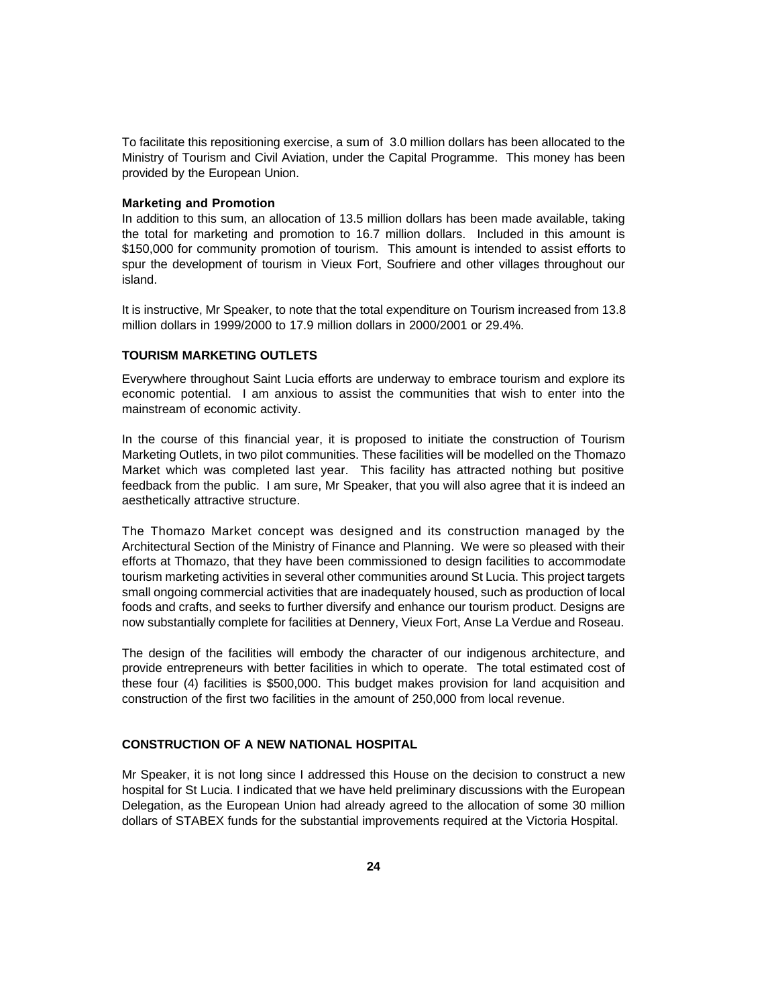To facilitate this repositioning exercise, a sum of 3.0 million dollars has been allocated to the Ministry of Tourism and Civil Aviation, under the Capital Programme. This money has been provided by the European Union.

### **Marketing and Promotion**

In addition to this sum, an allocation of 13.5 million dollars has been made available, taking the total for marketing and promotion to 16.7 million dollars. Included in this amount is \$150,000 for community promotion of tourism. This amount is intended to assist efforts to spur the development of tourism in Vieux Fort, Soufriere and other villages throughout our island.

It is instructive, Mr Speaker, to note that the total expenditure on Tourism increased from 13.8 million dollars in 1999/2000 to 17.9 million dollars in 2000/2001 or 29.4%.

# **TOURISM MARKETING OUTLETS**

Everywhere throughout Saint Lucia efforts are underway to embrace tourism and explore its economic potential. I am anxious to assist the communities that wish to enter into the mainstream of economic activity.

In the course of this financial year, it is proposed to initiate the construction of Tourism Marketing Outlets, in two pilot communities. These facilities will be modelled on the Thomazo Market which was completed last year. This facility has attracted nothing but positive feedback from the public. I am sure, Mr Speaker, that you will also agree that it is indeed an aesthetically attractive structure.

The Thomazo Market concept was designed and its construction managed by the Architectural Section of the Ministry of Finance and Planning. We were so pleased with their efforts at Thomazo, that they have been commissioned to design facilities to accommodate tourism marketing activities in several other communities around St Lucia. This project targets small ongoing commercial activities that are inadequately housed, such as production of local foods and crafts, and seeks to further diversify and enhance our tourism product. Designs are now substantially complete for facilities at Dennery, Vieux Fort, Anse La Verdue and Roseau.

The design of the facilities will embody the character of our indigenous architecture, and provide entrepreneurs with better facilities in which to operate. The total estimated cost of these four (4) facilities is \$500,000. This budget makes provision for land acquisition and construction of the first two facilities in the amount of 250,000 from local revenue.

# **CONSTRUCTION OF A NEW NATIONAL HOSPITAL**

Mr Speaker, it is not long since I addressed this House on the decision to construct a new hospital for St Lucia. I indicated that we have held preliminary discussions with the European Delegation, as the European Union had already agreed to the allocation of some 30 million dollars of STABEX funds for the substantial improvements required at the Victoria Hospital.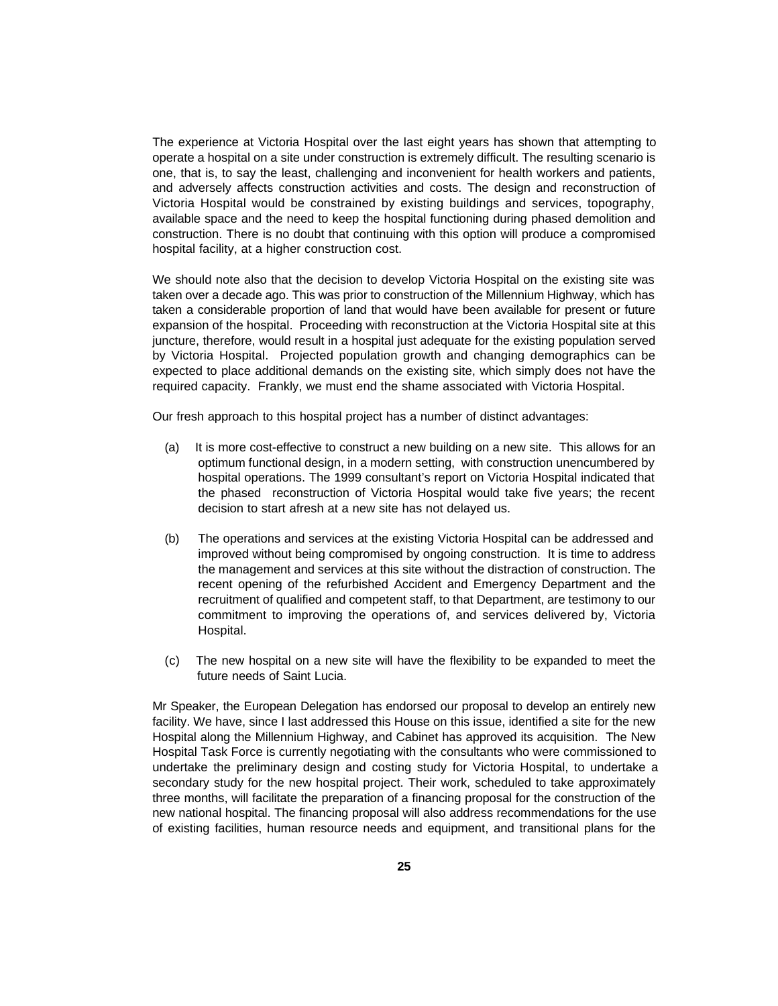The experience at Victoria Hospital over the last eight years has shown that attempting to operate a hospital on a site under construction is extremely difficult. The resulting scenario is one, that is, to say the least, challenging and inconvenient for health workers and patients, and adversely affects construction activities and costs. The design and reconstruction of Victoria Hospital would be constrained by existing buildings and services, topography, available space and the need to keep the hospital functioning during phased demolition and construction. There is no doubt that continuing with this option will produce a compromised hospital facility, at a higher construction cost.

We should note also that the decision to develop Victoria Hospital on the existing site was taken over a decade ago. This was prior to construction of the Millennium Highway, which has taken a considerable proportion of land that would have been available for present or future expansion of the hospital. Proceeding with reconstruction at the Victoria Hospital site at this juncture, therefore, would result in a hospital just adequate for the existing population served by Victoria Hospital. Projected population growth and changing demographics can be expected to place additional demands on the existing site, which simply does not have the required capacity. Frankly, we must end the shame associated with Victoria Hospital.

Our fresh approach to this hospital project has a number of distinct advantages:

- (a) It is more cost-effective to construct a new building on a new site. This allows for an optimum functional design, in a modern setting, with construction unencumbered by hospital operations. The 1999 consultant's report on Victoria Hospital indicated that the phased reconstruction of Victoria Hospital would take five years; the recent decision to start afresh at a new site has not delayed us.
- (b) The operations and services at the existing Victoria Hospital can be addressed and improved without being compromised by ongoing construction. It is time to address the management and services at this site without the distraction of construction. The recent opening of the refurbished Accident and Emergency Department and the recruitment of qualified and competent staff, to that Department, are testimony to our commitment to improving the operations of, and services delivered by, Victoria Hospital.
- (c) The new hospital on a new site will have the flexibility to be expanded to meet the future needs of Saint Lucia.

Mr Speaker, the European Delegation has endorsed our proposal to develop an entirely new facility. We have, since I last addressed this House on this issue, identified a site for the new Hospital along the Millennium Highway, and Cabinet has approved its acquisition. The New Hospital Task Force is currently negotiating with the consultants who were commissioned to undertake the preliminary design and costing study for Victoria Hospital, to undertake a secondary study for the new hospital project. Their work, scheduled to take approximately three months, will facilitate the preparation of a financing proposal for the construction of the new national hospital. The financing proposal will also address recommendations for the use of existing facilities, human resource needs and equipment, and transitional plans for the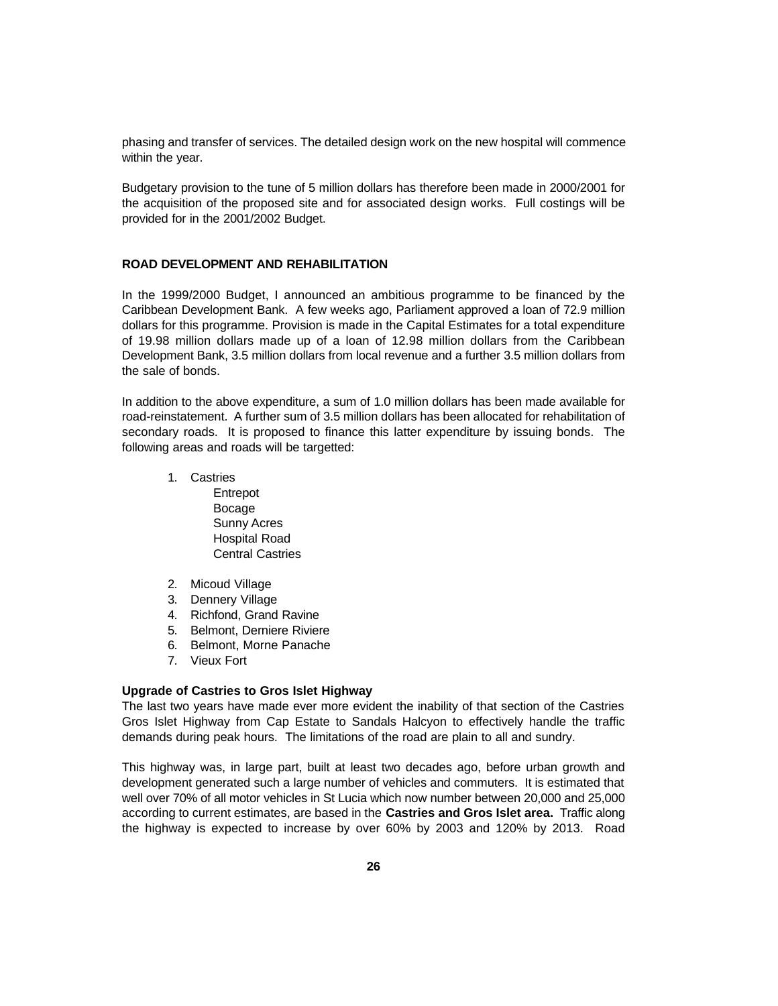phasing and transfer of services. The detailed design work on the new hospital will commence within the year.

Budgetary provision to the tune of 5 million dollars has therefore been made in 2000/2001 for the acquisition of the proposed site and for associated design works. Full costings will be provided for in the 2001/2002 Budget.

### **ROAD DEVELOPMENT AND REHABILITATION**

In the 1999/2000 Budget, I announced an ambitious programme to be financed by the Caribbean Development Bank. A few weeks ago, Parliament approved a loan of 72.9 million dollars for this programme. Provision is made in the Capital Estimates for a total expenditure of 19.98 million dollars made up of a loan of 12.98 million dollars from the Caribbean Development Bank, 3.5 million dollars from local revenue and a further 3.5 million dollars from the sale of bonds.

In addition to the above expenditure, a sum of 1.0 million dollars has been made available for road-reinstatement. A further sum of 3.5 million dollars has been allocated for rehabilitation of secondary roads. It is proposed to finance this latter expenditure by issuing bonds. The following areas and roads will be targetted:

- 1. Castries Entrepot Bocage Sunny Acres Hospital Road Central Castries
- 2. Micoud Village
- 3. Dennery Village
- 4. Richfond, Grand Ravine
- 5. Belmont, Derniere Riviere
- 6. Belmont, Morne Panache
- 7. Vieux Fort

# **Upgrade of Castries to Gros Islet Highway**

The last two years have made ever more evident the inability of that section of the Castries Gros Islet Highway from Cap Estate to Sandals Halcyon to effectively handle the traffic demands during peak hours. The limitations of the road are plain to all and sundry.

This highway was, in large part, built at least two decades ago, before urban growth and development generated such a large number of vehicles and commuters. It is estimated that well over 70% of all motor vehicles in St Lucia which now number between 20,000 and 25,000 according to current estimates, are based in the **Castries and Gros Islet area.** Traffic along the highway is expected to increase by over 60% by 2003 and 120% by 2013. Road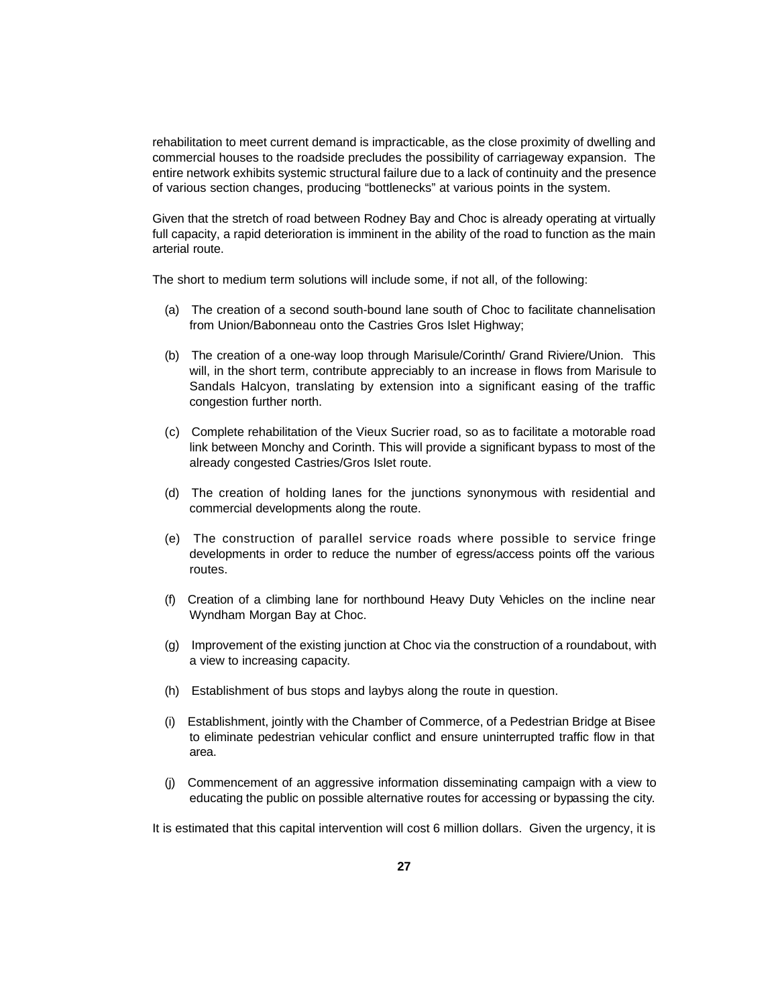rehabilitation to meet current demand is impracticable, as the close proximity of dwelling and commercial houses to the roadside precludes the possibility of carriageway expansion. The entire network exhibits systemic structural failure due to a lack of continuity and the presence of various section changes, producing "bottlenecks" at various points in the system.

Given that the stretch of road between Rodney Bay and Choc is already operating at virtually full capacity, a rapid deterioration is imminent in the ability of the road to function as the main arterial route.

The short to medium term solutions will include some, if not all, of the following:

- (a) The creation of a second south-bound lane south of Choc to facilitate channelisation from Union/Babonneau onto the Castries Gros Islet Highway;
- (b) The creation of a one-way loop through Marisule/Corinth/ Grand Riviere/Union. This will, in the short term, contribute appreciably to an increase in flows from Marisule to Sandals Halcyon, translating by extension into a significant easing of the traffic congestion further north.
- (c) Complete rehabilitation of the Vieux Sucrier road, so as to facilitate a motorable road link between Monchy and Corinth. This will provide a significant bypass to most of the already congested Castries/Gros Islet route.
- (d) The creation of holding lanes for the junctions synonymous with residential and commercial developments along the route.
- (e) The construction of parallel service roads where possible to service fringe developments in order to reduce the number of egress/access points off the various routes.
- (f) Creation of a climbing lane for northbound Heavy Duty Vehicles on the incline near Wyndham Morgan Bay at Choc.
- (g) Improvement of the existing junction at Choc via the construction of a roundabout, with a view to increasing capacity.
- (h) Establishment of bus stops and laybys along the route in question.
- (i) Establishment, jointly with the Chamber of Commerce, of a Pedestrian Bridge at Bisee to eliminate pedestrian vehicular conflict and ensure uninterrupted traffic flow in that area.
- (j) Commencement of an aggressive information disseminating campaign with a view to educating the public on possible alternative routes for accessing or bypassing the city.

It is estimated that this capital intervention will cost 6 million dollars. Given the urgency, it is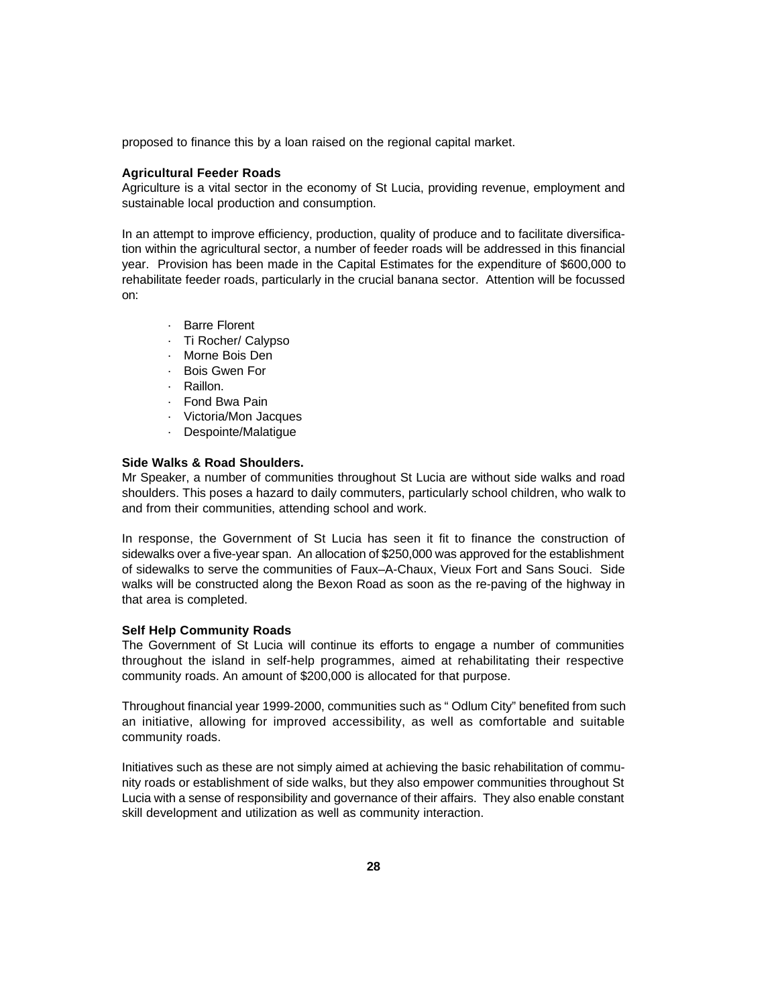proposed to finance this by a loan raised on the regional capital market.

### **Agricultural Feeder Roads**

Agriculture is a vital sector in the economy of St Lucia, providing revenue, employment and sustainable local production and consumption.

In an attempt to improve efficiency, production, quality of produce and to facilitate diversification within the agricultural sector, a number of feeder roads will be addressed in this financial year. Provision has been made in the Capital Estimates for the expenditure of \$600,000 to rehabilitate feeder roads, particularly in the crucial banana sector. Attention will be focussed on:

- · Barre Florent
- · Ti Rocher/ Calypso
- · Morne Bois Den
- · Bois Gwen For
- · Raillon.
- · Fond Bwa Pain
- · Victoria/Mon Jacques
- · Despointe/Malatigue

### **Side Walks & Road Shoulders.**

Mr Speaker, a number of communities throughout St Lucia are without side walks and road shoulders. This poses a hazard to daily commuters, particularly school children, who walk to and from their communities, attending school and work.

In response, the Government of St Lucia has seen it fit to finance the construction of sidewalks over a five-year span. An allocation of \$250,000 was approved for the establishment of sidewalks to serve the communities of Faux–A-Chaux, Vieux Fort and Sans Souci. Side walks will be constructed along the Bexon Road as soon as the re-paving of the highway in that area is completed.

### **Self Help Community Roads**

The Government of St Lucia will continue its efforts to engage a number of communities throughout the island in self-help programmes, aimed at rehabilitating their respective community roads. An amount of \$200,000 is allocated for that purpose.

Throughout financial year 1999-2000, communities such as " Odlum City" benefited from such an initiative, allowing for improved accessibility, as well as comfortable and suitable community roads.

Initiatives such as these are not simply aimed at achieving the basic rehabilitation of community roads or establishment of side walks, but they also empower communities throughout St Lucia with a sense of responsibility and governance of their affairs. They also enable constant skill development and utilization as well as community interaction.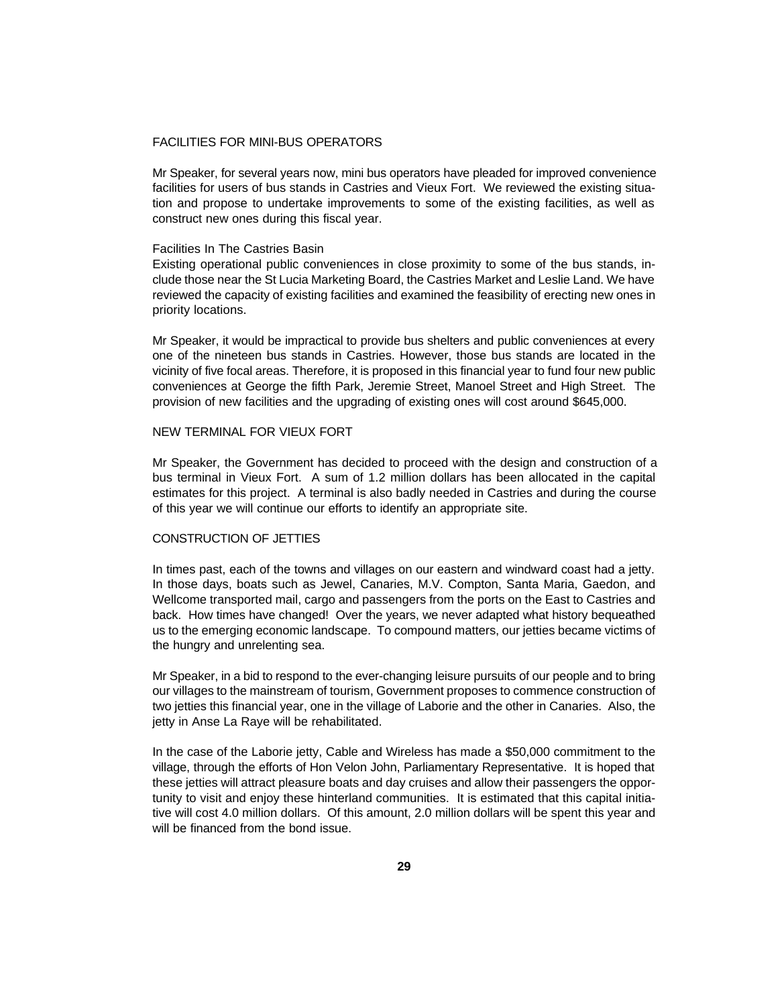## FACILITIES FOR MINI-BUS OPERATORS

Mr Speaker, for several years now, mini bus operators have pleaded for improved convenience facilities for users of bus stands in Castries and Vieux Fort. We reviewed the existing situation and propose to undertake improvements to some of the existing facilities, as well as construct new ones during this fiscal year.

#### Facilities In The Castries Basin

Existing operational public conveniences in close proximity to some of the bus stands, include those near the St Lucia Marketing Board, the Castries Market and Leslie Land. We have reviewed the capacity of existing facilities and examined the feasibility of erecting new ones in priority locations.

Mr Speaker, it would be impractical to provide bus shelters and public conveniences at every one of the nineteen bus stands in Castries. However, those bus stands are located in the vicinity of five focal areas. Therefore, it is proposed in this financial year to fund four new public conveniences at George the fifth Park, Jeremie Street, Manoel Street and High Street. The provision of new facilities and the upgrading of existing ones will cost around \$645,000.

### NEW TERMINAL FOR VIEUX FORT

Mr Speaker, the Government has decided to proceed with the design and construction of a bus terminal in Vieux Fort. A sum of 1.2 million dollars has been allocated in the capital estimates for this project. A terminal is also badly needed in Castries and during the course of this year we will continue our efforts to identify an appropriate site.

# CONSTRUCTION OF JETTIES

In times past, each of the towns and villages on our eastern and windward coast had a jetty. In those days, boats such as Jewel, Canaries, M.V. Compton, Santa Maria, Gaedon, and Wellcome transported mail, cargo and passengers from the ports on the East to Castries and back. How times have changed! Over the years, we never adapted what history bequeathed us to the emerging economic landscape. To compound matters, our jetties became victims of the hungry and unrelenting sea.

Mr Speaker, in a bid to respond to the ever-changing leisure pursuits of our people and to bring our villages to the mainstream of tourism, Government proposes to commence construction of two jetties this financial year, one in the village of Laborie and the other in Canaries. Also, the jetty in Anse La Raye will be rehabilitated.

In the case of the Laborie jetty, Cable and Wireless has made a \$50,000 commitment to the village, through the efforts of Hon Velon John, Parliamentary Representative. It is hoped that these jetties will attract pleasure boats and day cruises and allow their passengers the opportunity to visit and enjoy these hinterland communities. It is estimated that this capital initiative will cost 4.0 million dollars. Of this amount, 2.0 million dollars will be spent this year and will be financed from the bond issue.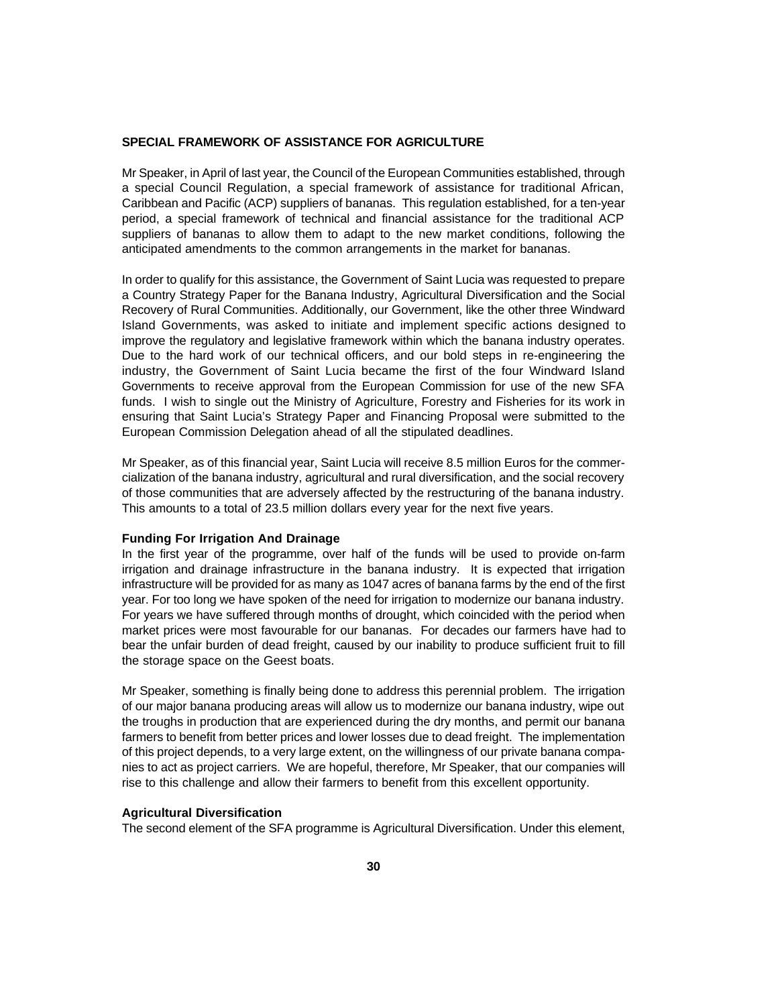### **SPECIAL FRAMEWORK OF ASSISTANCE FOR AGRICULTURE**

Mr Speaker, in April of last year, the Council of the European Communities established, through a special Council Regulation, a special framework of assistance for traditional African, Caribbean and Pacific (ACP) suppliers of bananas. This regulation established, for a ten-year period, a special framework of technical and financial assistance for the traditional ACP suppliers of bananas to allow them to adapt to the new market conditions, following the anticipated amendments to the common arrangements in the market for bananas.

In order to qualify for this assistance, the Government of Saint Lucia was requested to prepare a Country Strategy Paper for the Banana Industry, Agricultural Diversification and the Social Recovery of Rural Communities. Additionally, our Government, like the other three Windward Island Governments, was asked to initiate and implement specific actions designed to improve the regulatory and legislative framework within which the banana industry operates. Due to the hard work of our technical officers, and our bold steps in re-engineering the industry, the Government of Saint Lucia became the first of the four Windward Island Governments to receive approval from the European Commission for use of the new SFA funds. I wish to single out the Ministry of Agriculture, Forestry and Fisheries for its work in ensuring that Saint Lucia's Strategy Paper and Financing Proposal were submitted to the European Commission Delegation ahead of all the stipulated deadlines.

Mr Speaker, as of this financial year, Saint Lucia will receive 8.5 million Euros for the commercialization of the banana industry, agricultural and rural diversification, and the social recovery of those communities that are adversely affected by the restructuring of the banana industry. This amounts to a total of 23.5 million dollars every year for the next five years.

#### **Funding For Irrigation And Drainage**

In the first year of the programme, over half of the funds will be used to provide on-farm irrigation and drainage infrastructure in the banana industry. It is expected that irrigation infrastructure will be provided for as many as 1047 acres of banana farms by the end of the first year. For too long we have spoken of the need for irrigation to modernize our banana industry. For years we have suffered through months of drought, which coincided with the period when market prices were most favourable for our bananas. For decades our farmers have had to bear the unfair burden of dead freight, caused by our inability to produce sufficient fruit to fill the storage space on the Geest boats.

Mr Speaker, something is finally being done to address this perennial problem. The irrigation of our major banana producing areas will allow us to modernize our banana industry, wipe out the troughs in production that are experienced during the dry months, and permit our banana farmers to benefit from better prices and lower losses due to dead freight. The implementation of this project depends, to a very large extent, on the willingness of our private banana companies to act as project carriers. We are hopeful, therefore, Mr Speaker, that our companies will rise to this challenge and allow their farmers to benefit from this excellent opportunity.

### **Agricultural Diversification**

The second element of the SFA programme is Agricultural Diversification. Under this element,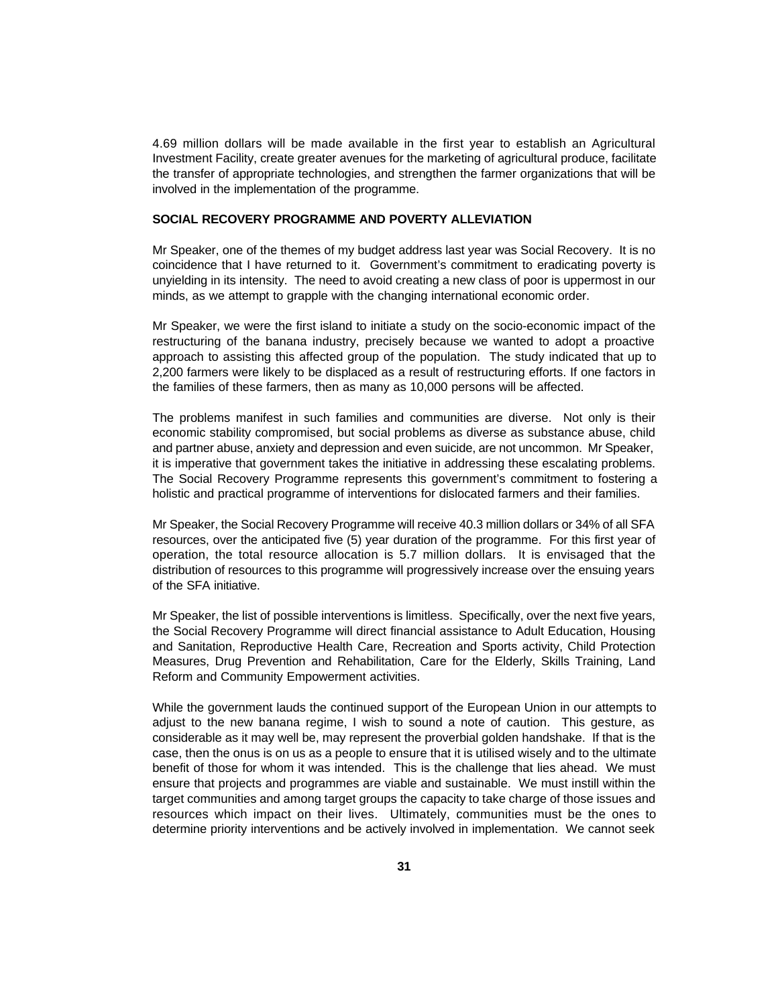4.69 million dollars will be made available in the first year to establish an Agricultural Investment Facility, create greater avenues for the marketing of agricultural produce, facilitate the transfer of appropriate technologies, and strengthen the farmer organizations that will be involved in the implementation of the programme.

# **SOCIAL RECOVERY PROGRAMME AND POVERTY ALLEVIATION**

Mr Speaker, one of the themes of my budget address last year was Social Recovery. It is no coincidence that I have returned to it. Government's commitment to eradicating poverty is unyielding in its intensity. The need to avoid creating a new class of poor is uppermost in our minds, as we attempt to grapple with the changing international economic order.

Mr Speaker, we were the first island to initiate a study on the socio-economic impact of the restructuring of the banana industry, precisely because we wanted to adopt a proactive approach to assisting this affected group of the population. The study indicated that up to 2,200 farmers were likely to be displaced as a result of restructuring efforts. If one factors in the families of these farmers, then as many as 10,000 persons will be affected.

The problems manifest in such families and communities are diverse. Not only is their economic stability compromised, but social problems as diverse as substance abuse, child and partner abuse, anxiety and depression and even suicide, are not uncommon. Mr Speaker, it is imperative that government takes the initiative in addressing these escalating problems. The Social Recovery Programme represents this government's commitment to fostering a holistic and practical programme of interventions for dislocated farmers and their families.

Mr Speaker, the Social Recovery Programme will receive 40.3 million dollars or 34% of all SFA resources, over the anticipated five (5) year duration of the programme. For this first year of operation, the total resource allocation is 5.7 million dollars. It is envisaged that the distribution of resources to this programme will progressively increase over the ensuing years of the SFA initiative.

Mr Speaker, the list of possible interventions is limitless. Specifically, over the next five years, the Social Recovery Programme will direct financial assistance to Adult Education, Housing and Sanitation, Reproductive Health Care, Recreation and Sports activity, Child Protection Measures, Drug Prevention and Rehabilitation, Care for the Elderly, Skills Training, Land Reform and Community Empowerment activities.

While the government lauds the continued support of the European Union in our attempts to adjust to the new banana regime, I wish to sound a note of caution. This gesture, as considerable as it may well be, may represent the proverbial golden handshake. If that is the case, then the onus is on us as a people to ensure that it is utilised wisely and to the ultimate benefit of those for whom it was intended. This is the challenge that lies ahead. We must ensure that projects and programmes are viable and sustainable. We must instill within the target communities and among target groups the capacity to take charge of those issues and resources which impact on their lives. Ultimately, communities must be the ones to determine priority interventions and be actively involved in implementation. We cannot seek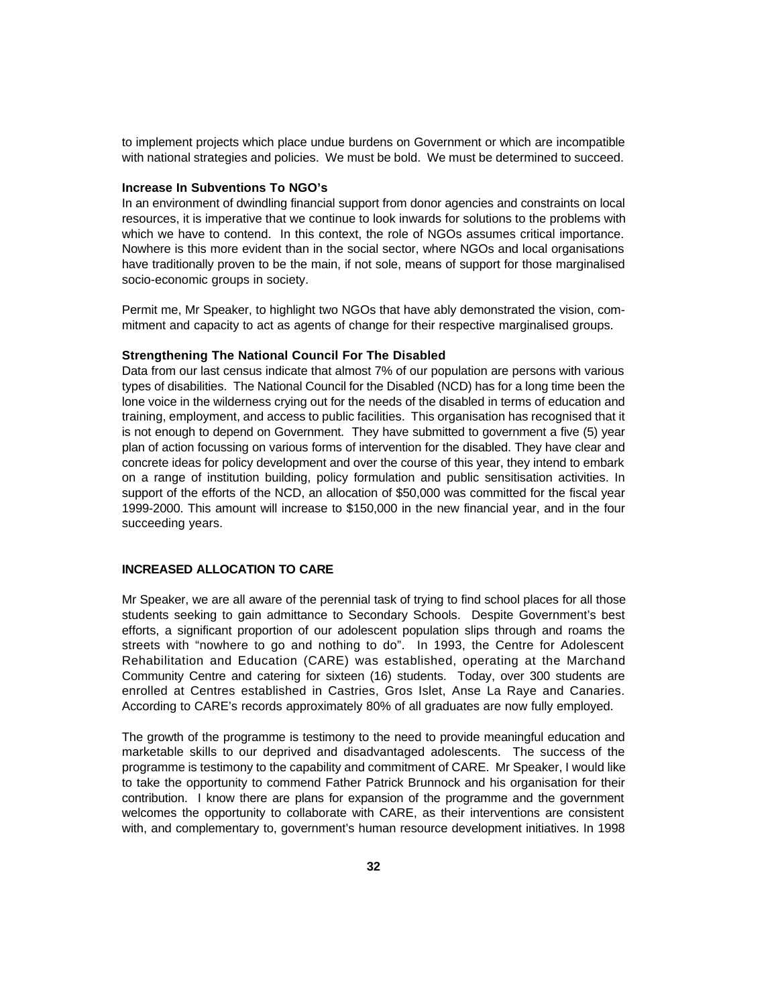to implement projects which place undue burdens on Government or which are incompatible with national strategies and policies. We must be bold. We must be determined to succeed.

# **Increase In Subventions To NGO's**

In an environment of dwindling financial support from donor agencies and constraints on local resources, it is imperative that we continue to look inwards for solutions to the problems with which we have to contend. In this context, the role of NGOs assumes critical importance. Nowhere is this more evident than in the social sector, where NGOs and local organisations have traditionally proven to be the main, if not sole, means of support for those marginalised socio-economic groups in society.

Permit me, Mr Speaker, to highlight two NGOs that have ably demonstrated the vision, commitment and capacity to act as agents of change for their respective marginalised groups.

### **Strengthening The National Council For The Disabled**

Data from our last census indicate that almost 7% of our population are persons with various types of disabilities. The National Council for the Disabled (NCD) has for a long time been the lone voice in the wilderness crying out for the needs of the disabled in terms of education and training, employment, and access to public facilities. This organisation has recognised that it is not enough to depend on Government. They have submitted to government a five (5) year plan of action focussing on various forms of intervention for the disabled. They have clear and concrete ideas for policy development and over the course of this year, they intend to embark on a range of institution building, policy formulation and public sensitisation activities. In support of the efforts of the NCD, an allocation of \$50,000 was committed for the fiscal year 1999-2000. This amount will increase to \$150,000 in the new financial year, and in the four succeeding years.

### **INCREASED ALLOCATION TO CARE**

Mr Speaker, we are all aware of the perennial task of trying to find school places for all those students seeking to gain admittance to Secondary Schools. Despite Government's best efforts, a significant proportion of our adolescent population slips through and roams the streets with "nowhere to go and nothing to do". In 1993, the Centre for Adolescent Rehabilitation and Education (CARE) was established, operating at the Marchand Community Centre and catering for sixteen (16) students. Today, over 300 students are enrolled at Centres established in Castries, Gros Islet, Anse La Raye and Canaries. According to CARE's records approximately 80% of all graduates are now fully employed.

The growth of the programme is testimony to the need to provide meaningful education and marketable skills to our deprived and disadvantaged adolescents. The success of the programme is testimony to the capability and commitment of CARE. Mr Speaker, I would like to take the opportunity to commend Father Patrick Brunnock and his organisation for their contribution. I know there are plans for expansion of the programme and the government welcomes the opportunity to collaborate with CARE, as their interventions are consistent with, and complementary to, government's human resource development initiatives. In 1998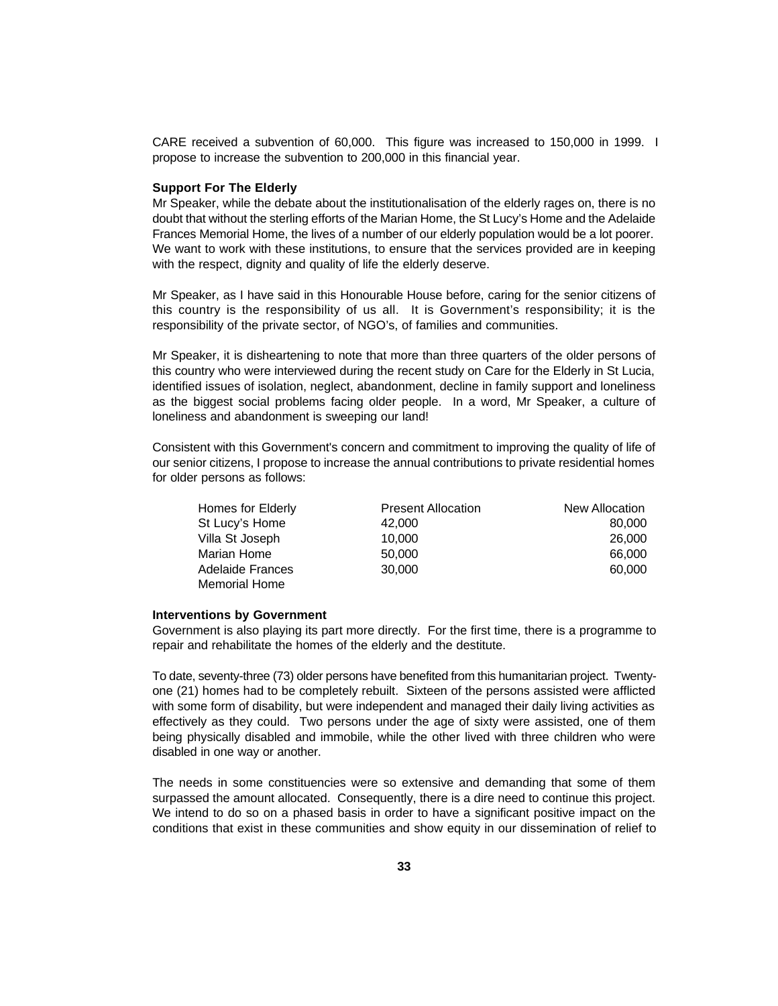CARE received a subvention of 60,000. This figure was increased to 150,000 in 1999. I propose to increase the subvention to 200,000 in this financial year.

# **Support For The Elderly**

Mr Speaker, while the debate about the institutionalisation of the elderly rages on, there is no doubt that without the sterling efforts of the Marian Home, the St Lucy's Home and the Adelaide Frances Memorial Home, the lives of a number of our elderly population would be a lot poorer. We want to work with these institutions, to ensure that the services provided are in keeping with the respect, dignity and quality of life the elderly deserve.

Mr Speaker, as I have said in this Honourable House before, caring for the senior citizens of this country is the responsibility of us all. It is Government's responsibility; it is the responsibility of the private sector, of NGO's, of families and communities.

Mr Speaker, it is disheartening to note that more than three quarters of the older persons of this country who were interviewed during the recent study on Care for the Elderly in St Lucia, identified issues of isolation, neglect, abandonment, decline in family support and loneliness as the biggest social problems facing older people. In a word, Mr Speaker, a culture of loneliness and abandonment is sweeping our land!

Consistent with this Government's concern and commitment to improving the quality of life of our senior citizens, I propose to increase the annual contributions to private residential homes for older persons as follows:

| Homes for Elderly | <b>Present Allocation</b> | New Allocation |  |
|-------------------|---------------------------|----------------|--|
| St Lucy's Home    | 42,000                    | 80,000         |  |
| Villa St Joseph   | 10.000                    | 26,000         |  |
| Marian Home       | 50,000                    | 66,000         |  |
| Adelaide Frances  | 30,000                    | 60,000         |  |
| Memorial Home     |                           |                |  |

#### **Interventions by Government**

Government is also playing its part more directly. For the first time, there is a programme to repair and rehabilitate the homes of the elderly and the destitute.

To date, seventy-three (73) older persons have benefited from this humanitarian project. Twentyone (21) homes had to be completely rebuilt. Sixteen of the persons assisted were afflicted with some form of disability, but were independent and managed their daily living activities as effectively as they could. Two persons under the age of sixty were assisted, one of them being physically disabled and immobile, while the other lived with three children who were disabled in one way or another.

The needs in some constituencies were so extensive and demanding that some of them surpassed the amount allocated. Consequently, there is a dire need to continue this project. We intend to do so on a phased basis in order to have a significant positive impact on the conditions that exist in these communities and show equity in our dissemination of relief to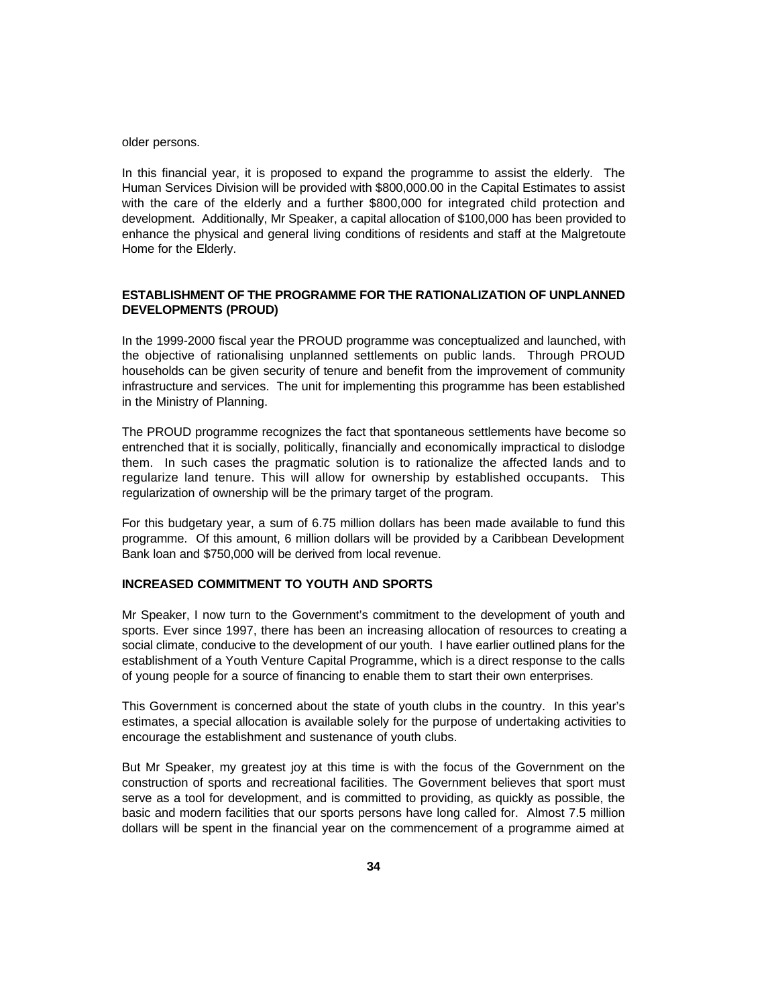older persons.

In this financial year, it is proposed to expand the programme to assist the elderly. The Human Services Division will be provided with \$800,000.00 in the Capital Estimates to assist with the care of the elderly and a further \$800,000 for integrated child protection and development. Additionally, Mr Speaker, a capital allocation of \$100,000 has been provided to enhance the physical and general living conditions of residents and staff at the Malgretoute Home for the Elderly.

# **ESTABLISHMENT OF THE PROGRAMME FOR THE RATIONALIZATION OF UNPLANNED DEVELOPMENTS (PROUD)**

In the 1999-2000 fiscal year the PROUD programme was conceptualized and launched, with the objective of rationalising unplanned settlements on public lands. Through PROUD households can be given security of tenure and benefit from the improvement of community infrastructure and services. The unit for implementing this programme has been established in the Ministry of Planning.

The PROUD programme recognizes the fact that spontaneous settlements have become so entrenched that it is socially, politically, financially and economically impractical to dislodge them. In such cases the pragmatic solution is to rationalize the affected lands and to regularize land tenure. This will allow for ownership by established occupants. This regularization of ownership will be the primary target of the program.

For this budgetary year, a sum of 6.75 million dollars has been made available to fund this programme. Of this amount, 6 million dollars will be provided by a Caribbean Development Bank loan and \$750,000 will be derived from local revenue.

# **INCREASED COMMITMENT TO YOUTH AND SPORTS**

Mr Speaker, I now turn to the Government's commitment to the development of youth and sports. Ever since 1997, there has been an increasing allocation of resources to creating a social climate, conducive to the development of our youth. I have earlier outlined plans for the establishment of a Youth Venture Capital Programme, which is a direct response to the calls of young people for a source of financing to enable them to start their own enterprises.

This Government is concerned about the state of youth clubs in the country. In this year's estimates, a special allocation is available solely for the purpose of undertaking activities to encourage the establishment and sustenance of youth clubs.

But Mr Speaker, my greatest joy at this time is with the focus of the Government on the construction of sports and recreational facilities. The Government believes that sport must serve as a tool for development, and is committed to providing, as quickly as possible, the basic and modern facilities that our sports persons have long called for. Almost 7.5 million dollars will be spent in the financial year on the commencement of a programme aimed at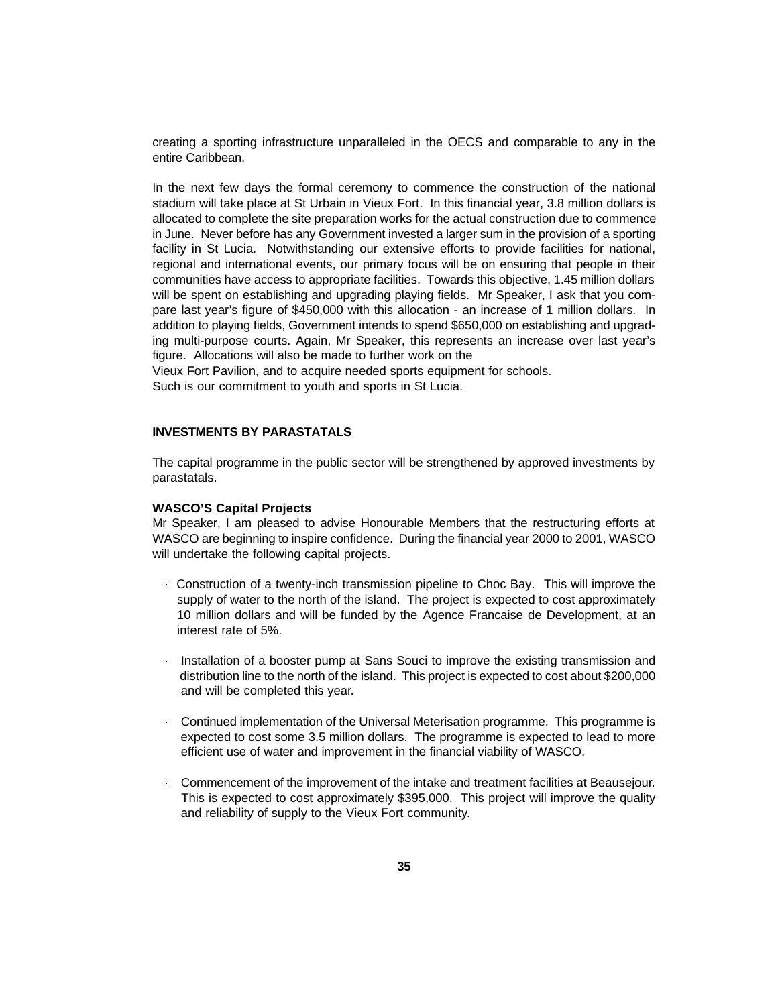creating a sporting infrastructure unparalleled in the OECS and comparable to any in the entire Caribbean.

In the next few days the formal ceremony to commence the construction of the national stadium will take place at St Urbain in Vieux Fort. In this financial year, 3.8 million dollars is allocated to complete the site preparation works for the actual construction due to commence in June. Never before has any Government invested a larger sum in the provision of a sporting facility in St Lucia. Notwithstanding our extensive efforts to provide facilities for national, regional and international events, our primary focus will be on ensuring that people in their communities have access to appropriate facilities. Towards this objective, 1.45 million dollars will be spent on establishing and upgrading playing fields. Mr Speaker, I ask that you compare last year's figure of \$450,000 with this allocation - an increase of 1 million dollars. In addition to playing fields, Government intends to spend \$650,000 on establishing and upgrading multi-purpose courts. Again, Mr Speaker, this represents an increase over last year's figure. Allocations will also be made to further work on the

Vieux Fort Pavilion, and to acquire needed sports equipment for schools. Such is our commitment to youth and sports in St Lucia.

### **INVESTMENTS BY PARASTATALS**

The capital programme in the public sector will be strengthened by approved investments by parastatals.

### **WASCO'S Capital Projects**

Mr Speaker, I am pleased to advise Honourable Members that the restructuring efforts at WASCO are beginning to inspire confidence. During the financial year 2000 to 2001, WASCO will undertake the following capital projects.

- · Construction of a twenty-inch transmission pipeline to Choc Bay. This will improve the supply of water to the north of the island. The project is expected to cost approximately 10 million dollars and will be funded by the Agence Francaise de Development, at an interest rate of 5%.
- · Installation of a booster pump at Sans Souci to improve the existing transmission and distribution line to the north of the island. This project is expected to cost about \$200,000 and will be completed this year.
- · Continued implementation of the Universal Meterisation programme. This programme is expected to cost some 3.5 million dollars. The programme is expected to lead to more efficient use of water and improvement in the financial viability of WASCO.
- · Commencement of the improvement of the intake and treatment facilities at Beausejour. This is expected to cost approximately \$395,000. This project will improve the quality and reliability of supply to the Vieux Fort community.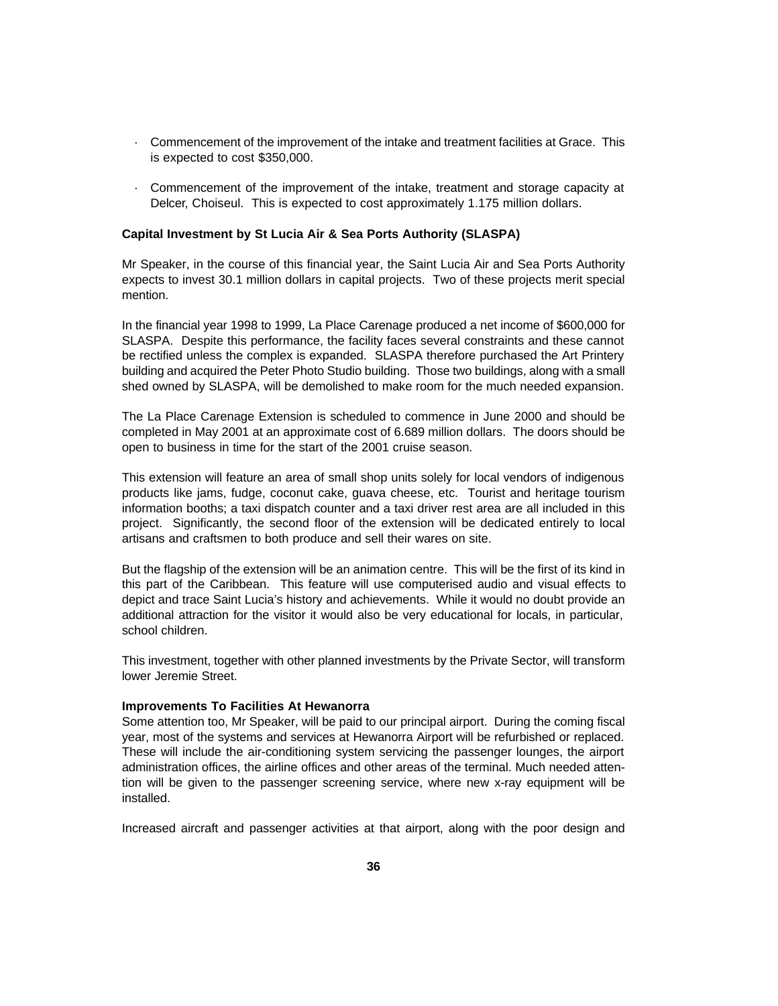- · Commencement of the improvement of the intake and treatment facilities at Grace. This is expected to cost \$350,000.
- · Commencement of the improvement of the intake, treatment and storage capacity at Delcer, Choiseul. This is expected to cost approximately 1.175 million dollars.

### **Capital Investment by St Lucia Air & Sea Ports Authority (SLASPA)**

Mr Speaker, in the course of this financial year, the Saint Lucia Air and Sea Ports Authority expects to invest 30.1 million dollars in capital projects. Two of these projects merit special mention.

In the financial year 1998 to 1999, La Place Carenage produced a net income of \$600,000 for SLASPA. Despite this performance, the facility faces several constraints and these cannot be rectified unless the complex is expanded. SLASPA therefore purchased the Art Printery building and acquired the Peter Photo Studio building. Those two buildings, along with a small shed owned by SLASPA, will be demolished to make room for the much needed expansion.

The La Place Carenage Extension is scheduled to commence in June 2000 and should be completed in May 2001 at an approximate cost of 6.689 million dollars. The doors should be open to business in time for the start of the 2001 cruise season.

This extension will feature an area of small shop units solely for local vendors of indigenous products like jams, fudge, coconut cake, guava cheese, etc. Tourist and heritage tourism information booths; a taxi dispatch counter and a taxi driver rest area are all included in this project. Significantly, the second floor of the extension will be dedicated entirely to local artisans and craftsmen to both produce and sell their wares on site.

But the flagship of the extension will be an animation centre. This will be the first of its kind in this part of the Caribbean. This feature will use computerised audio and visual effects to depict and trace Saint Lucia's history and achievements. While it would no doubt provide an additional attraction for the visitor it would also be very educational for locals, in particular, school children.

This investment, together with other planned investments by the Private Sector, will transform lower Jeremie Street.

### **Improvements To Facilities At Hewanorra**

Some attention too, Mr Speaker, will be paid to our principal airport. During the coming fiscal year, most of the systems and services at Hewanorra Airport will be refurbished or replaced. These will include the air-conditioning system servicing the passenger lounges, the airport administration offices, the airline offices and other areas of the terminal. Much needed attention will be given to the passenger screening service, where new x-ray equipment will be installed.

Increased aircraft and passenger activities at that airport, along with the poor design and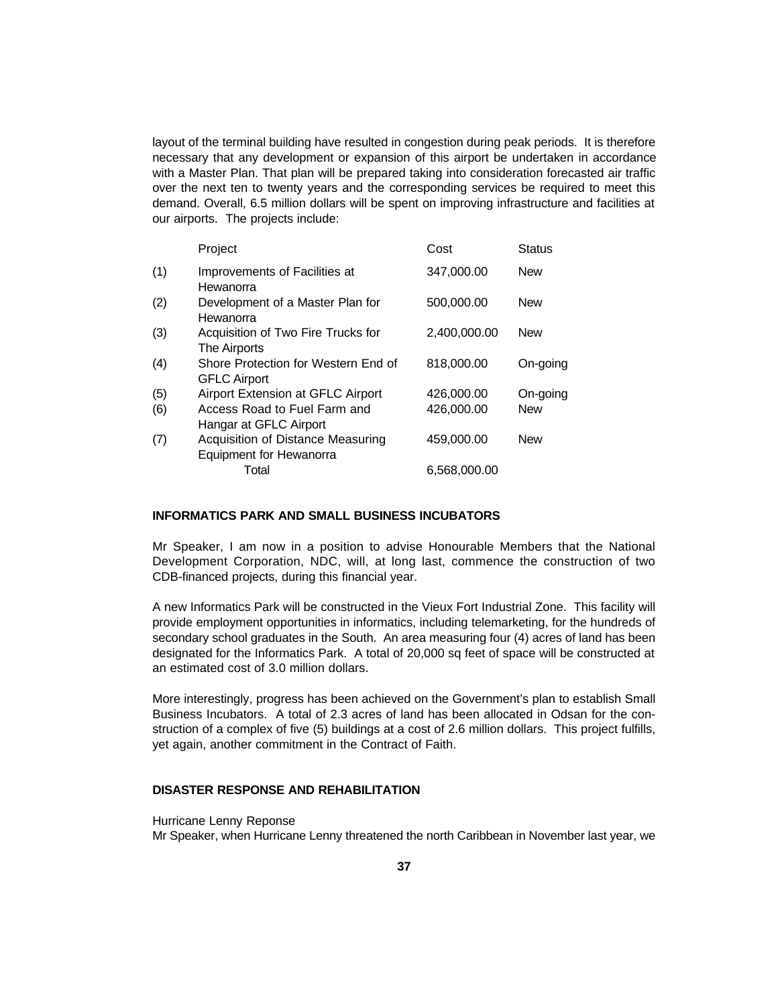layout of the terminal building have resulted in congestion during peak periods. It is therefore necessary that any development or expansion of this airport be undertaken in accordance with a Master Plan. That plan will be prepared taking into consideration forecasted air traffic over the next ten to twenty years and the corresponding services be required to meet this demand. Overall, 6.5 million dollars will be spent on improving infrastructure and facilities at our airports. The projects include:

|     | Project                                                      | Cost         | <b>Status</b> |
|-----|--------------------------------------------------------------|--------------|---------------|
| (1) | Improvements of Facilities at<br>Hewanorra                   | 347,000.00   | <b>New</b>    |
| (2) | Development of a Master Plan for<br>Hewanorra                | 500,000.00   | <b>New</b>    |
| (3) | Acquisition of Two Fire Trucks for<br>The Airports           | 2,400,000.00 | <b>New</b>    |
| (4) | Shore Protection for Western End of<br><b>GFLC Airport</b>   | 818,000.00   | On-going      |
| (5) | Airport Extension at GFLC Airport                            | 426,000.00   | On-going      |
| (6) | Access Road to Fuel Farm and<br>Hangar at GFLC Airport       | 426,000.00   | <b>New</b>    |
| (7) | Acquisition of Distance Measuring<br>Equipment for Hewanorra | 459,000.00   | <b>New</b>    |
|     | Total                                                        | 6,568,000.00 |               |

## **INFORMATICS PARK AND SMALL BUSINESS INCUBATORS**

Mr Speaker, I am now in a position to advise Honourable Members that the National Development Corporation, NDC, will, at long last, commence the construction of two CDB-financed projects, during this financial year.

A new Informatics Park will be constructed in the Vieux Fort Industrial Zone. This facility will provide employment opportunities in informatics, including telemarketing, for the hundreds of secondary school graduates in the South. An area measuring four (4) acres of land has been designated for the Informatics Park. A total of 20,000 sq feet of space will be constructed at an estimated cost of 3.0 million dollars.

More interestingly, progress has been achieved on the Government's plan to establish Small Business Incubators. A total of 2.3 acres of land has been allocated in Odsan for the construction of a complex of five (5) buildings at a cost of 2.6 million dollars. This project fulfills, yet again, another commitment in the Contract of Faith.

# **DISASTER RESPONSE AND REHABILITATION**

Hurricane Lenny Reponse

Mr Speaker, when Hurricane Lenny threatened the north Caribbean in November last year, we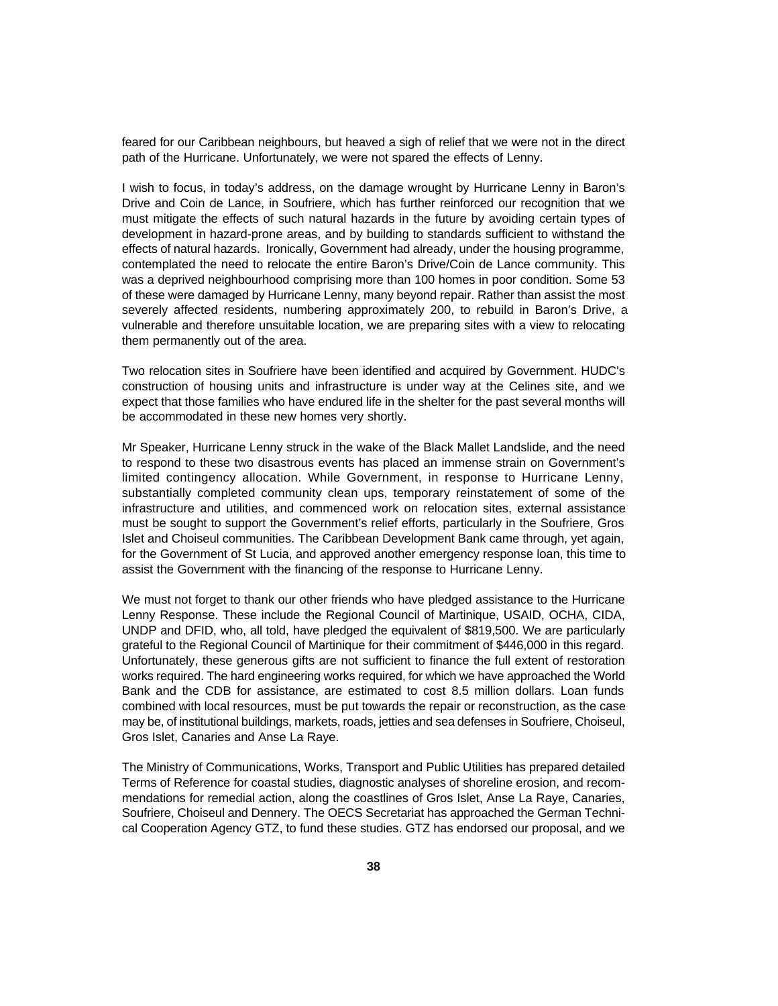feared for our Caribbean neighbours, but heaved a sigh of relief that we were not in the direct path of the Hurricane. Unfortunately, we were not spared the effects of Lenny.

I wish to focus, in today's address, on the damage wrought by Hurricane Lenny in Baron's Drive and Coin de Lance, in Soufriere, which has further reinforced our recognition that we must mitigate the effects of such natural hazards in the future by avoiding certain types of development in hazard-prone areas, and by building to standards sufficient to withstand the effects of natural hazards. Ironically, Government had already, under the housing programme, contemplated the need to relocate the entire Baron's Drive/Coin de Lance community. This was a deprived neighbourhood comprising more than 100 homes in poor condition. Some 53 of these were damaged by Hurricane Lenny, many beyond repair. Rather than assist the most severely affected residents, numbering approximately 200, to rebuild in Baron's Drive, a vulnerable and therefore unsuitable location, we are preparing sites with a view to relocating them permanently out of the area.

Two relocation sites in Soufriere have been identified and acquired by Government. HUDC's construction of housing units and infrastructure is under way at the Celines site, and we expect that those families who have endured life in the shelter for the past several months will be accommodated in these new homes very shortly.

Mr Speaker, Hurricane Lenny struck in the wake of the Black Mallet Landslide, and the need to respond to these two disastrous events has placed an immense strain on Government's limited contingency allocation. While Government, in response to Hurricane Lenny, substantially completed community clean ups, temporary reinstatement of some of the infrastructure and utilities, and commenced work on relocation sites, external assistance must be sought to support the Government's relief efforts, particularly in the Soufriere, Gros Islet and Choiseul communities. The Caribbean Development Bank came through, yet again, for the Government of St Lucia, and approved another emergency response loan, this time to assist the Government with the financing of the response to Hurricane Lenny.

We must not forget to thank our other friends who have pledged assistance to the Hurricane Lenny Response. These include the Regional Council of Martinique, USAID, OCHA, CIDA, UNDP and DFID, who, all told, have pledged the equivalent of \$819,500. We are particularly grateful to the Regional Council of Martinique for their commitment of \$446,000 in this regard. Unfortunately, these generous gifts are not sufficient to finance the full extent of restoration works required. The hard engineering works required, for which we have approached the World Bank and the CDB for assistance, are estimated to cost 8.5 million dollars. Loan funds combined with local resources, must be put towards the repair or reconstruction, as the case may be, of institutional buildings, markets, roads, jetties and sea defenses in Soufriere, Choiseul, Gros Islet, Canaries and Anse La Raye.

The Ministry of Communications, Works, Transport and Public Utilities has prepared detailed Terms of Reference for coastal studies, diagnostic analyses of shoreline erosion, and recommendations for remedial action, along the coastlines of Gros Islet, Anse La Raye, Canaries, Soufriere, Choiseul and Dennery. The OECS Secretariat has approached the German Technical Cooperation Agency GTZ, to fund these studies. GTZ has endorsed our proposal, and we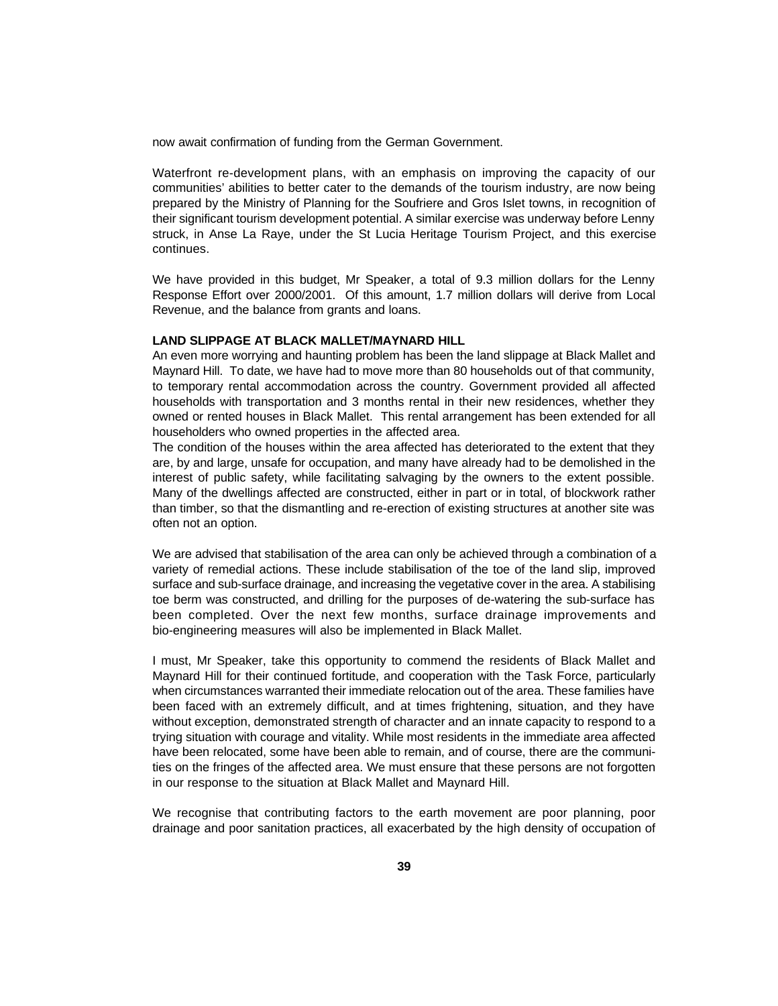now await confirmation of funding from the German Government.

Waterfront re-development plans, with an emphasis on improving the capacity of our communities' abilities to better cater to the demands of the tourism industry, are now being prepared by the Ministry of Planning for the Soufriere and Gros Islet towns, in recognition of their significant tourism development potential. A similar exercise was underway before Lenny struck, in Anse La Raye, under the St Lucia Heritage Tourism Project, and this exercise continues.

We have provided in this budget, Mr Speaker, a total of 9.3 million dollars for the Lenny Response Effort over 2000/2001. Of this amount, 1.7 million dollars will derive from Local Revenue, and the balance from grants and loans.

### **LAND SLIPPAGE AT BLACK MALLET/MAYNARD HILL**

An even more worrying and haunting problem has been the land slippage at Black Mallet and Maynard Hill. To date, we have had to move more than 80 households out of that community, to temporary rental accommodation across the country. Government provided all affected households with transportation and 3 months rental in their new residences, whether they owned or rented houses in Black Mallet. This rental arrangement has been extended for all householders who owned properties in the affected area.

The condition of the houses within the area affected has deteriorated to the extent that they are, by and large, unsafe for occupation, and many have already had to be demolished in the interest of public safety, while facilitating salvaging by the owners to the extent possible. Many of the dwellings affected are constructed, either in part or in total, of blockwork rather than timber, so that the dismantling and re-erection of existing structures at another site was often not an option.

We are advised that stabilisation of the area can only be achieved through a combination of a variety of remedial actions. These include stabilisation of the toe of the land slip, improved surface and sub-surface drainage, and increasing the vegetative cover in the area. A stabilising toe berm was constructed, and drilling for the purposes of de-watering the sub-surface has been completed. Over the next few months, surface drainage improvements and bio-engineering measures will also be implemented in Black Mallet.

I must, Mr Speaker, take this opportunity to commend the residents of Black Mallet and Maynard Hill for their continued fortitude, and cooperation with the Task Force, particularly when circumstances warranted their immediate relocation out of the area. These families have been faced with an extremely difficult, and at times frightening, situation, and they have without exception, demonstrated strength of character and an innate capacity to respond to a trying situation with courage and vitality. While most residents in the immediate area affected have been relocated, some have been able to remain, and of course, there are the communities on the fringes of the affected area. We must ensure that these persons are not forgotten in our response to the situation at Black Mallet and Maynard Hill.

We recognise that contributing factors to the earth movement are poor planning, poor drainage and poor sanitation practices, all exacerbated by the high density of occupation of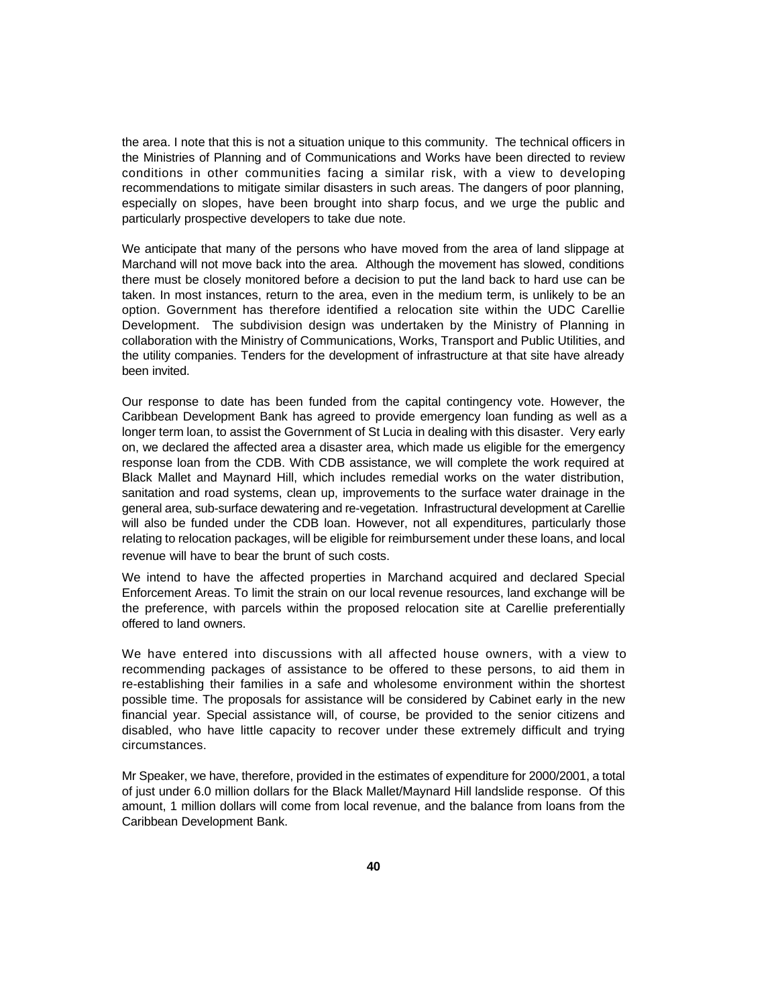the area. I note that this is not a situation unique to this community. The technical officers in the Ministries of Planning and of Communications and Works have been directed to review conditions in other communities facing a similar risk, with a view to developing recommendations to mitigate similar disasters in such areas. The dangers of poor planning, especially on slopes, have been brought into sharp focus, and we urge the public and particularly prospective developers to take due note.

We anticipate that many of the persons who have moved from the area of land slippage at Marchand will not move back into the area. Although the movement has slowed, conditions there must be closely monitored before a decision to put the land back to hard use can be taken. In most instances, return to the area, even in the medium term, is unlikely to be an option. Government has therefore identified a relocation site within the UDC Carellie Development. The subdivision design was undertaken by the Ministry of Planning in collaboration with the Ministry of Communications, Works, Transport and Public Utilities, and the utility companies. Tenders for the development of infrastructure at that site have already been invited.

Our response to date has been funded from the capital contingency vote. However, the Caribbean Development Bank has agreed to provide emergency loan funding as well as a longer term loan, to assist the Government of St Lucia in dealing with this disaster. Very early on, we declared the affected area a disaster area, which made us eligible for the emergency response loan from the CDB. With CDB assistance, we will complete the work required at Black Mallet and Maynard Hill, which includes remedial works on the water distribution, sanitation and road systems, clean up, improvements to the surface water drainage in the general area, sub-surface dewatering and re-vegetation. Infrastructural development at Carellie will also be funded under the CDB loan. However, not all expenditures, particularly those relating to relocation packages, will be eligible for reimbursement under these loans, and local revenue will have to bear the brunt of such costs.

We intend to have the affected properties in Marchand acquired and declared Special Enforcement Areas. To limit the strain on our local revenue resources, land exchange will be the preference, with parcels within the proposed relocation site at Carellie preferentially offered to land owners.

We have entered into discussions with all affected house owners, with a view to recommending packages of assistance to be offered to these persons, to aid them in re-establishing their families in a safe and wholesome environment within the shortest possible time. The proposals for assistance will be considered by Cabinet early in the new financial year. Special assistance will, of course, be provided to the senior citizens and disabled, who have little capacity to recover under these extremely difficult and trying circumstances.

Mr Speaker, we have, therefore, provided in the estimates of expenditure for 2000/2001, a total of just under 6.0 million dollars for the Black Mallet/Maynard Hill landslide response. Of this amount, 1 million dollars will come from local revenue, and the balance from loans from the Caribbean Development Bank.